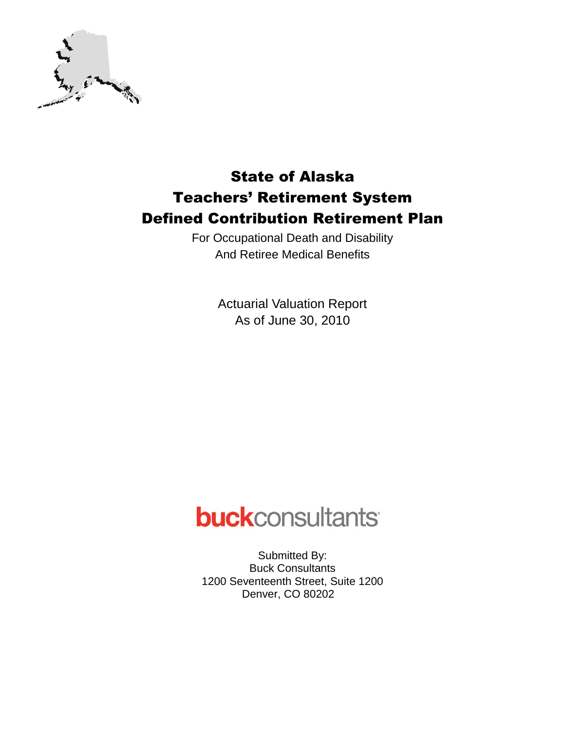

## State of Alaska Teachers' Retirement System Defined Contribution Retirement Plan

For Occupational Death and Disability And Retiree Medical Benefits

> Actuarial Valuation Report As of June 30, 2010

# **buck**consultants

Submitted By: Buck Consultants 1200 Seventeenth Street, Suite 1200 Denver, CO 80202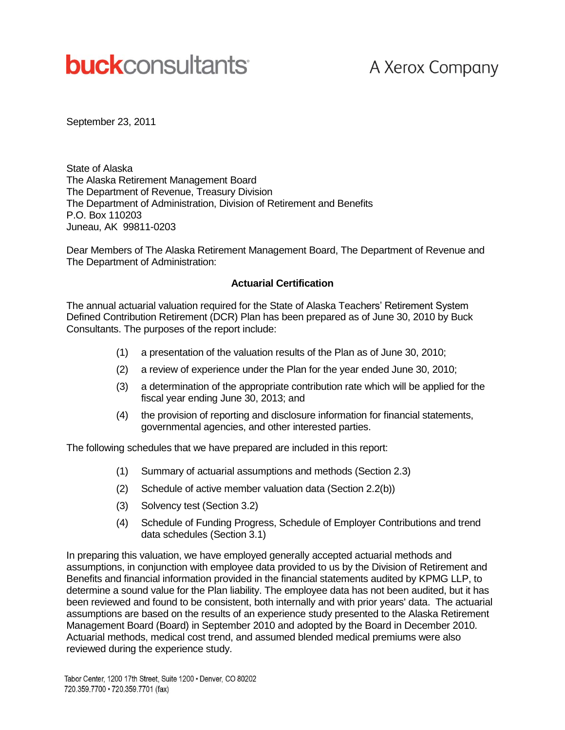# **buck**consultants

## A Xerox Company

September 23, 2011

State of Alaska The Alaska Retirement Management Board The Department of Revenue, Treasury Division The Department of Administration, Division of Retirement and Benefits P.O. Box 110203 Juneau, AK 99811-0203

Dear Members of The Alaska Retirement Management Board, The Department of Revenue and The Department of Administration:

#### **Actuarial Certification**

The annual actuarial valuation required for the State of Alaska Teachers' Retirement System Defined Contribution Retirement (DCR) Plan has been prepared as of June 30, 2010 by Buck Consultants. The purposes of the report include:

- (1) a presentation of the valuation results of the Plan as of June 30, 2010;
- (2) a review of experience under the Plan for the year ended June 30, 2010;
- (3) a determination of the appropriate contribution rate which will be applied for the fiscal year ending June 30, 2013; and
- (4) the provision of reporting and disclosure information for financial statements, governmental agencies, and other interested parties.

The following schedules that we have prepared are included in this report:

- (1) Summary of actuarial assumptions and methods (Section 2.3)
- (2) Schedule of active member valuation data (Section 2.2(b))
- (3) Solvency test (Section 3.2)
- (4) Schedule of Funding Progress, Schedule of Employer Contributions and trend data schedules (Section 3.1)

In preparing this valuation, we have employed generally accepted actuarial methods and assumptions, in conjunction with employee data provided to us by the Division of Retirement and Benefits and financial information provided in the financial statements audited by KPMG LLP, to determine a sound value for the Plan liability. The employee data has not been audited, but it has been reviewed and found to be consistent, both internally and with prior years' data. The actuarial assumptions are based on the results of an experience study presented to the Alaska Retirement Management Board (Board) in September 2010 and adopted by the Board in December 2010. Actuarial methods, medical cost trend, and assumed blended medical premiums were also reviewed during the experience study.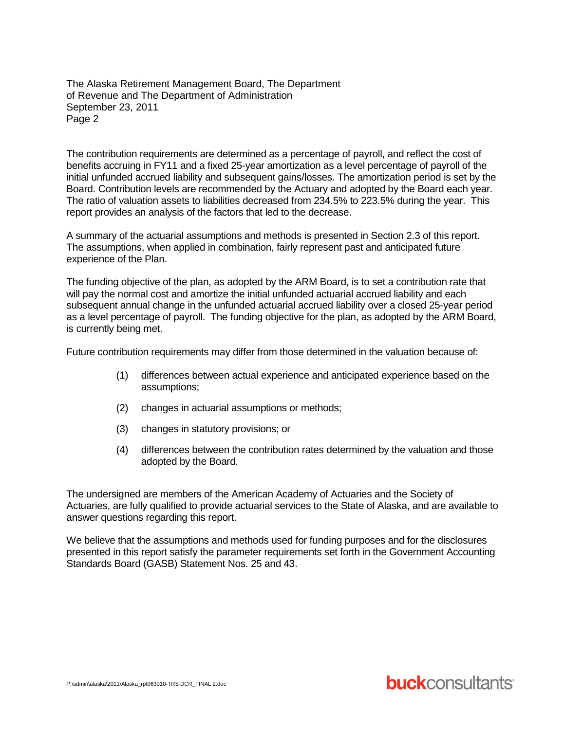The Alaska Retirement Management Board, The Department of Revenue and The Department of Administration September 23, 2011 Page 2

The contribution requirements are determined as a percentage of payroll, and reflect the cost of benefits accruing in FY11 and a fixed 25-year amortization as a level percentage of payroll of the initial unfunded accrued liability and subsequent gains/losses. The amortization period is set by the Board. Contribution levels are recommended by the Actuary and adopted by the Board each year. The ratio of valuation assets to liabilities decreased from 234.5% to 223.5% during the year. This report provides an analysis of the factors that led to the decrease.

A summary of the actuarial assumptions and methods is presented in Section 2.3 of this report. The assumptions, when applied in combination, fairly represent past and anticipated future experience of the Plan.

The funding objective of the plan, as adopted by the ARM Board, is to set a contribution rate that will pay the normal cost and amortize the initial unfunded actuarial accrued liability and each subsequent annual change in the unfunded actuarial accrued liability over a closed 25-year period as a level percentage of payroll. The funding objective for the plan, as adopted by the ARM Board, is currently being met.

Future contribution requirements may differ from those determined in the valuation because of:

- (1) differences between actual experience and anticipated experience based on the assumptions;
- (2) changes in actuarial assumptions or methods;
- (3) changes in statutory provisions; or
- (4) differences between the contribution rates determined by the valuation and those adopted by the Board.

The undersigned are members of the American Academy of Actuaries and the Society of Actuaries, are fully qualified to provide actuarial services to the State of Alaska, and are available to answer questions regarding this report.

We believe that the assumptions and methods used for funding purposes and for the disclosures presented in this report satisfy the parameter requirements set forth in the Government Accounting Standards Board (GASB) Statement Nos. 25 and 43.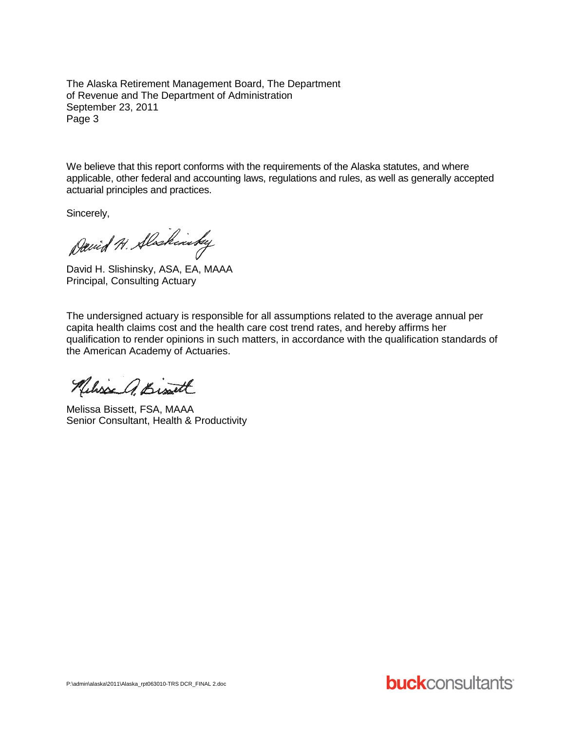The Alaska Retirement Management Board, The Department of Revenue and The Department of Administration September 23, 2011 Page 3

We believe that this report conforms with the requirements of the Alaska statutes, and where applicable, other federal and accounting laws, regulations and rules, as well as generally accepted actuarial principles and practices.

Sincerely,

David H. Slockinsky

David H. Slishinsky, ASA, EA, MAAA Principal, Consulting Actuary

The undersigned actuary is responsible for all assumptions related to the average annual per capita health claims cost and the health care cost trend rates, and hereby affirms her qualification to render opinions in such matters, in accordance with the qualification standards of the American Academy of Actuaries.

Nelisse Q. Bissett

Melissa Bissett, FSA, MAAA Senior Consultant, Health & Productivity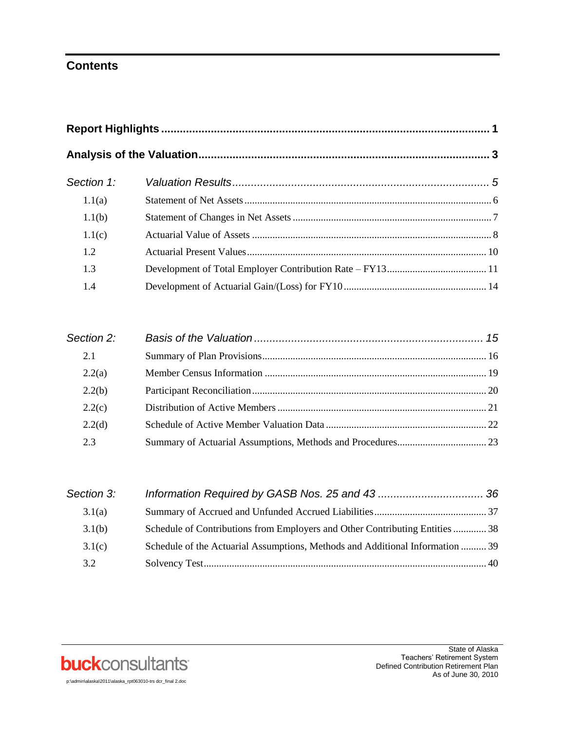## **Contents**

| Section 1: |  |  |  |  |  |
|------------|--|--|--|--|--|
| 1.1(a)     |  |  |  |  |  |
| 1.1(b)     |  |  |  |  |  |
| 1.1(c)     |  |  |  |  |  |
| 1.2        |  |  |  |  |  |
| 1.3        |  |  |  |  |  |
| 1.4        |  |  |  |  |  |

| Section 2: |  |
|------------|--|
| 2.1        |  |
| 2.2(a)     |  |
| 2.2(b)     |  |
| 2.2(c)     |  |
| 2.2(d)     |  |
| 2.3        |  |

| Section 3: |                                                                               |  |
|------------|-------------------------------------------------------------------------------|--|
| 3.1(a)     |                                                                               |  |
| 3.1(b)     | Schedule of Contributions from Employers and Other Contributing Entities  38  |  |
| 3.1(c)     | Schedule of the Actuarial Assumptions, Methods and Additional Information  39 |  |
| 3.2        |                                                                               |  |

**buck**consultants

State of Alaska Teachers' Retirement System Defined Contribution Retirement Plan As of June 30, 2010

p:\admin\alaska\2011\alaska\_rpt063010-trs dcr\_final 2.doc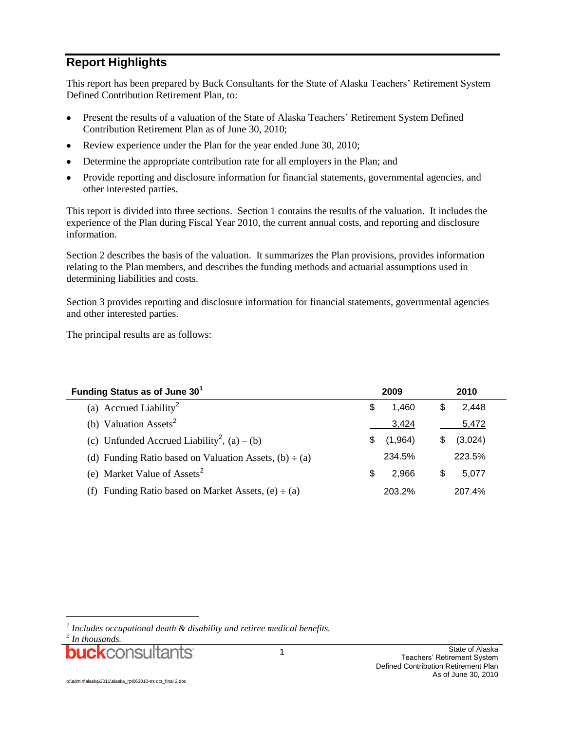## **Report Highlights**

This report has been prepared by Buck Consultants for the State of Alaska Teachers' Retirement System Defined Contribution Retirement Plan, to:

- Present the results of a valuation of the State of Alaska Teachers' Retirement System Defined  $\bullet$ Contribution Retirement Plan as of June 30, 2010;
- Review experience under the Plan for the year ended June 30, 2010;  $\bullet$
- Determine the appropriate contribution rate for all employers in the Plan; and
- Provide reporting and disclosure information for financial statements, governmental agencies, and other interested parties.

This report is divided into three sections. Section 1 contains the results of the valuation. It includes the experience of the Plan during Fiscal Year 2010, the current annual costs, and reporting and disclosure information.

Section 2 describes the basis of the valuation. It summarizes the Plan provisions, provides information relating to the Plan members, and describes the funding methods and actuarial assumptions used in determining liabilities and costs.

Section 3 provides reporting and disclosure information for financial statements, governmental agencies and other interested parties.

The principal results are as follows:

| Funding Status as of June 30 <sup>1</sup>                   | 2009           | 2010         |  |  |
|-------------------------------------------------------------|----------------|--------------|--|--|
| (a) Accrued Liability <sup>2</sup>                          | 1.460<br>S     | 2,448<br>\$  |  |  |
| (b) Valuation Assets <sup>2</sup>                           | 3,424          | 5,472        |  |  |
| (c) Unfunded Accrued Liability <sup>2</sup> , (a) – (b)     | (1,964)<br>\$. | (3,024)<br>S |  |  |
| (d) Funding Ratio based on Valuation Assets, $(b) \div (a)$ | 234.5%         | 223.5%       |  |  |
| (e) Market Value of Assets <sup>2</sup>                     | 2.966<br>S     | S<br>5.077   |  |  |
| Funding Ratio based on Market Assets, $(e) \div (a)$<br>(t) | 203.2%         | 207.4%       |  |  |

l

*<sup>1</sup> Includes occupational death & disability and retiree medical benefits.*

*<sup>2</sup> In thousands.*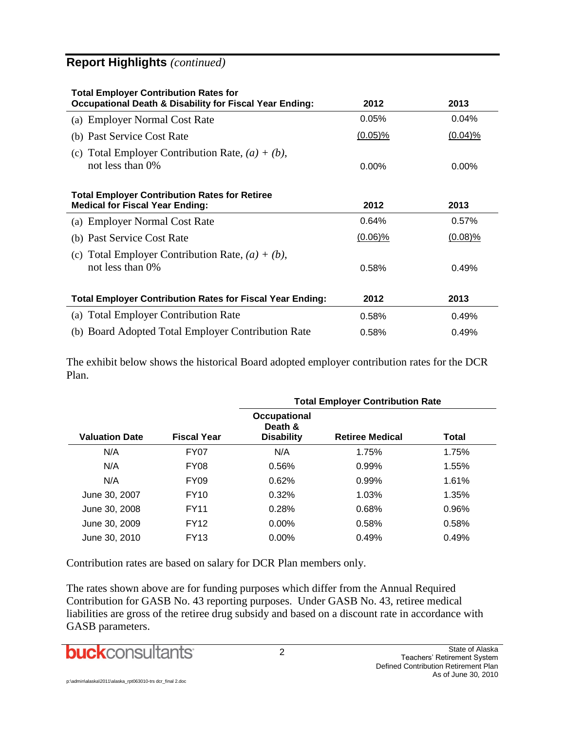## **Report Highlights** *(continued)*

| <b>Total Employer Contribution Rates for</b><br><b>Occupational Death &amp; Disability for Fiscal Year Ending:</b> | 2012       | 2013       |
|--------------------------------------------------------------------------------------------------------------------|------------|------------|
| (a) Employer Normal Cost Rate                                                                                      | 0.05%      | 0.04%      |
| (b) Past Service Cost Rate                                                                                         | $(0.05)\%$ | $(0.04)$ % |
| Total Employer Contribution Rate, $(a) + (b)$ ,<br>(c)<br>not less than $0\%$                                      | $0.00\%$   | $0.00\%$   |
| <b>Total Employer Contribution Rates for Retiree</b><br><b>Medical for Fiscal Year Ending:</b>                     | 2012       | 2013       |
| (a) Employer Normal Cost Rate                                                                                      | 0.64%      | 0.57%      |
| (b) Past Service Cost Rate                                                                                         | $(0.06)\%$ | $(0.08)\%$ |
| (c) Total Employer Contribution Rate, $(a) + (b)$ ,<br>not less than 0%                                            | 0.58%      | 0.49%      |
| <b>Total Employer Contribution Rates for Fiscal Year Ending:</b>                                                   | 2012       | 2013       |
| <b>Total Employer Contribution Rate</b><br>(a)                                                                     | 0.58%      | 0.49%      |
| (b) Board Adopted Total Employer Contribution Rate                                                                 | 0.58%      | 0.49%      |

The exhibit below shows the historical Board adopted employer contribution rates for the DCR Plan.

|                       |                    |                                              | <b>Total Employer Contribution Rate</b> |       |  |  |  |  |
|-----------------------|--------------------|----------------------------------------------|-----------------------------------------|-------|--|--|--|--|
| <b>Valuation Date</b> | <b>Fiscal Year</b> | Occupational<br>Death &<br><b>Disability</b> | <b>Retiree Medical</b>                  | Total |  |  |  |  |
| N/A                   | FY07               | N/A                                          | 1.75%                                   | 1.75% |  |  |  |  |
| N/A                   | FY <sub>08</sub>   | 0.56%                                        | 0.99%                                   | 1.55% |  |  |  |  |
| N/A                   | FY <sub>09</sub>   | 0.62%                                        | 0.99%                                   | 1.61% |  |  |  |  |
| June 30, 2007         | <b>FY10</b>        | 0.32%                                        | 1.03%                                   | 1.35% |  |  |  |  |
| June 30, 2008         | <b>FY11</b>        | 0.28%                                        | 0.68%                                   | 0.96% |  |  |  |  |
| June 30, 2009         | <b>FY12</b>        | $0.00\%$                                     | 0.58%                                   | 0.58% |  |  |  |  |
| June 30, 2010         | <b>FY13</b>        | $0.00\%$                                     | 0.49%                                   | 0.49% |  |  |  |  |

Contribution rates are based on salary for DCR Plan members only.

The rates shown above are for funding purposes which differ from the Annual Required Contribution for GASB No. 43 reporting purposes. Under GASB No. 43, retiree medical liabilities are gross of the retiree drug subsidy and based on a discount rate in accordance with GASB parameters.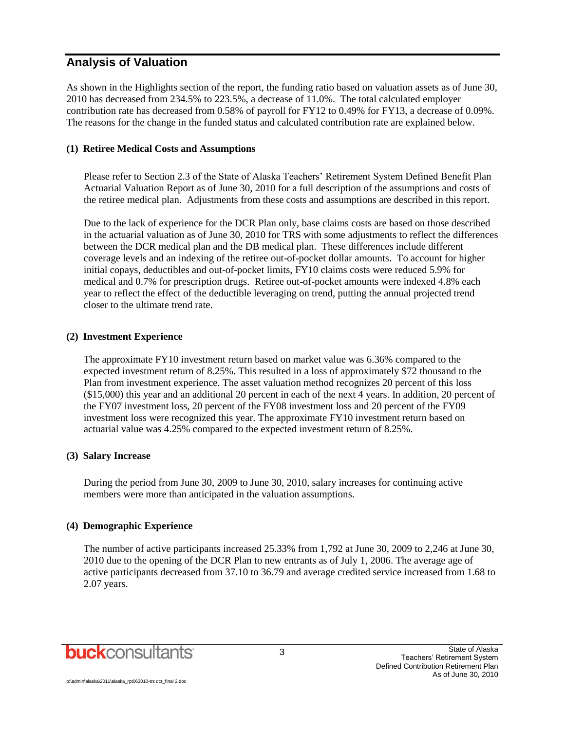### **Analysis of Valuation**

As shown in the Highlights section of the report, the funding ratio based on valuation assets as of June 30, 2010 has decreased from 234.5% to 223.5%, a decrease of 11.0%. The total calculated employer contribution rate has decreased from 0.58% of payroll for FY12 to 0.49% for FY13, a decrease of 0.09%. The reasons for the change in the funded status and calculated contribution rate are explained below.

#### **(1) Retiree Medical Costs and Assumptions**

Please refer to Section 2.3 of the State of Alaska Teachers' Retirement System Defined Benefit Plan Actuarial Valuation Report as of June 30, 2010 for a full description of the assumptions and costs of the retiree medical plan. Adjustments from these costs and assumptions are described in this report.

Due to the lack of experience for the DCR Plan only, base claims costs are based on those described in the actuarial valuation as of June 30, 2010 for TRS with some adjustments to reflect the differences between the DCR medical plan and the DB medical plan. These differences include different coverage levels and an indexing of the retiree out-of-pocket dollar amounts. To account for higher initial copays, deductibles and out-of-pocket limits, FY10 claims costs were reduced 5.9% for medical and 0.7% for prescription drugs. Retiree out-of-pocket amounts were indexed 4.8% each year to reflect the effect of the deductible leveraging on trend, putting the annual projected trend closer to the ultimate trend rate.

#### **(2) Investment Experience**

The approximate FY10 investment return based on market value was 6.36% compared to the expected investment return of 8.25%. This resulted in a loss of approximately \$72 thousand to the Plan from investment experience. The asset valuation method recognizes 20 percent of this loss (\$15,000) this year and an additional 20 percent in each of the next 4 years. In addition, 20 percent of the FY07 investment loss, 20 percent of the FY08 investment loss and 20 percent of the FY09 investment loss were recognized this year. The approximate FY10 investment return based on actuarial value was 4.25% compared to the expected investment return of 8.25%.

#### **(3) Salary Increase**

During the period from June 30, 2009 to June 30, 2010, salary increases for continuing active members were more than anticipated in the valuation assumptions.

#### **(4) Demographic Experience**

The number of active participants increased 25.33% from 1,792 at June 30, 2009 to 2,246 at June 30, 2010 due to the opening of the DCR Plan to new entrants as of July 1, 2006. The average age of active participants decreased from 37.10 to 36.79 and average credited service increased from 1.68 to 2.07 years.

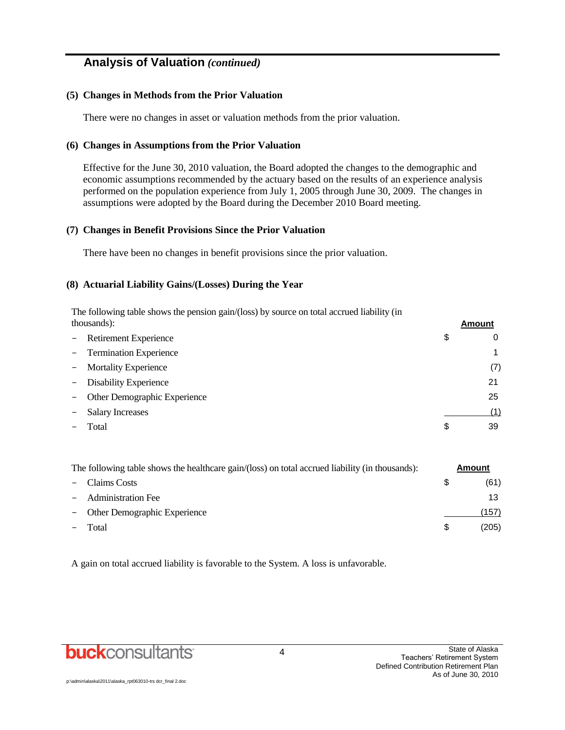## **Analysis of Valuation** *(continued)*

#### **(5) Changes in Methods from the Prior Valuation**

There were no changes in asset or valuation methods from the prior valuation.

#### **(6) Changes in Assumptions from the Prior Valuation**

Effective for the June 30, 2010 valuation, the Board adopted the changes to the demographic and economic assumptions recommended by the actuary based on the results of an experience analysis performed on the population experience from July 1, 2005 through June 30, 2009. The changes in assumptions were adopted by the Board during the December 2010 Board meeting.

#### **(7) Changes in Benefit Provisions Since the Prior Valuation**

There have been no changes in benefit provisions since the prior valuation.

#### **(8) Actuarial Liability Gains/(Losses) During the Year**

The following table shows the pension gain/(loss) by source on total accrued liability (in thousands): **Amount**

|               | - Retirement Experience        | S | 0   |
|---------------|--------------------------------|---|-----|
|               | - Termination Experience       |   | 1   |
|               | - Mortality Experience         |   | (7) |
| $\frac{1}{2}$ | Disability Experience          |   | 21  |
|               | - Other Demographic Experience |   | 25  |
|               | <b>Salary Increases</b>        |   | (1) |
|               | Total                          | S | 39  |
|               |                                |   |     |

| The following table shows the healthcare gain/(loss) on total accrued liability (in thousands): |   | Amount |
|-------------------------------------------------------------------------------------------------|---|--------|
| - Claims Costs                                                                                  |   | (61)   |
| - Administration Fee                                                                            |   | 13     |
| - Other Demographic Experience                                                                  |   | (157   |
| Total                                                                                           | S | (205)  |

A gain on total accrued liability is favorable to the System. A loss is unfavorable.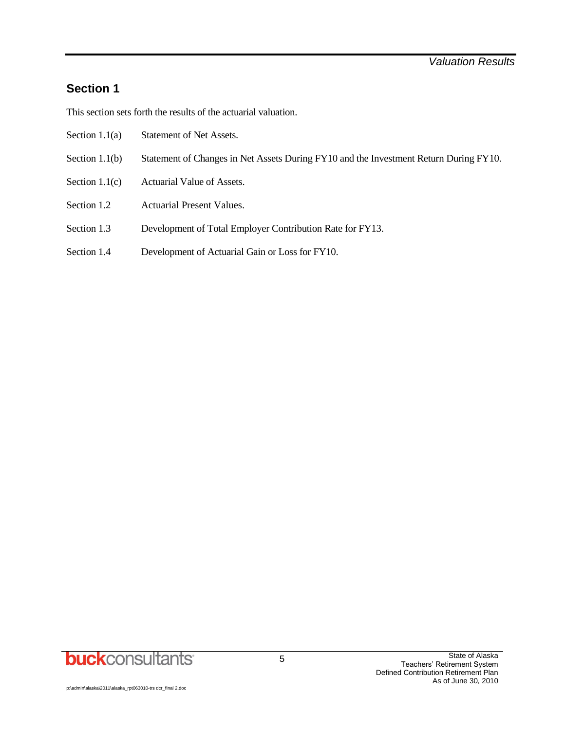## **Section 1**

This section sets forth the results of the actuarial valuation.

- Section 1.1(a) Statement of Net Assets.
- Section 1.1(b) Statement of Changes in Net Assets During FY10 and the Investment Return During FY10.
- Section 1.1(c) Actuarial Value of Assets.
- Section 1.2 Actuarial Present Values.
- Section 1.3 Development of Total Employer Contribution Rate for FY13.
- Section 1.4 Development of Actuarial Gain or Loss for FY10.

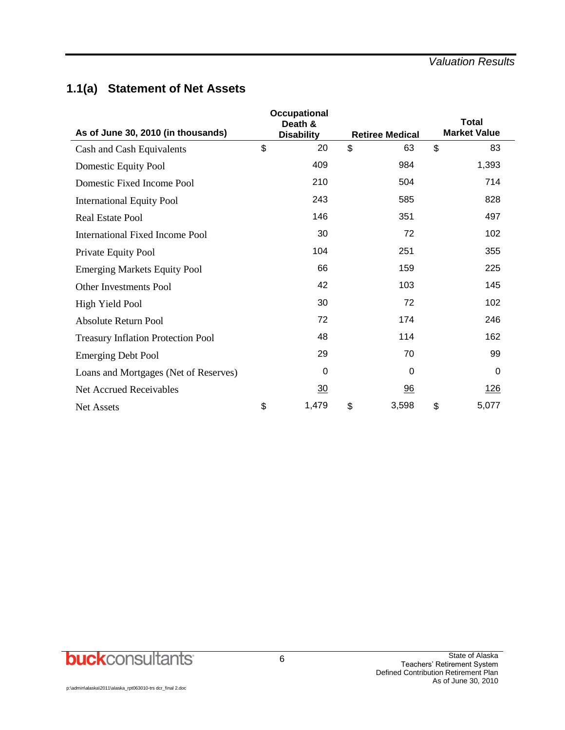## **1.1(a) Statement of Net Assets**

| As of June 30, 2010 (in thousands)        | <b>Total</b><br><b>Market Value</b><br><b>Retiree Medical</b> |             |    |            |
|-------------------------------------------|---------------------------------------------------------------|-------------|----|------------|
| Cash and Cash Equivalents                 | \$<br><b>Disability</b><br>20                                 | \$<br>63    | \$ | 83         |
| Domestic Equity Pool                      | 409                                                           | 984         |    | 1,393      |
| Domestic Fixed Income Pool                | 210                                                           | 504         |    | 714        |
| <b>International Equity Pool</b>          | 243                                                           | 585         |    | 828        |
| <b>Real Estate Pool</b>                   | 146                                                           | 351         |    | 497        |
| International Fixed Income Pool           | 30                                                            | 72          |    | 102        |
| Private Equity Pool                       | 104                                                           | 251         |    | 355        |
| <b>Emerging Markets Equity Pool</b>       | 66                                                            | 159         |    | 225        |
| <b>Other Investments Pool</b>             | 42                                                            | 103         |    | 145        |
| High Yield Pool                           | 30                                                            | 72          |    | 102        |
| <b>Absolute Return Pool</b>               | 72                                                            | 174         |    | 246        |
| <b>Treasury Inflation Protection Pool</b> | 48                                                            | 114         |    | 162        |
| <b>Emerging Debt Pool</b>                 | 29                                                            | 70          |    | 99         |
| Loans and Mortgages (Net of Reserves)     | $\Omega$                                                      | $\Omega$    |    | 0          |
| Net Accrued Receivables                   | $\overline{30}$                                               | 96          |    | <u>126</u> |
| <b>Net Assets</b>                         | \$<br>1,479                                                   | \$<br>3,598 | \$ | 5,077      |

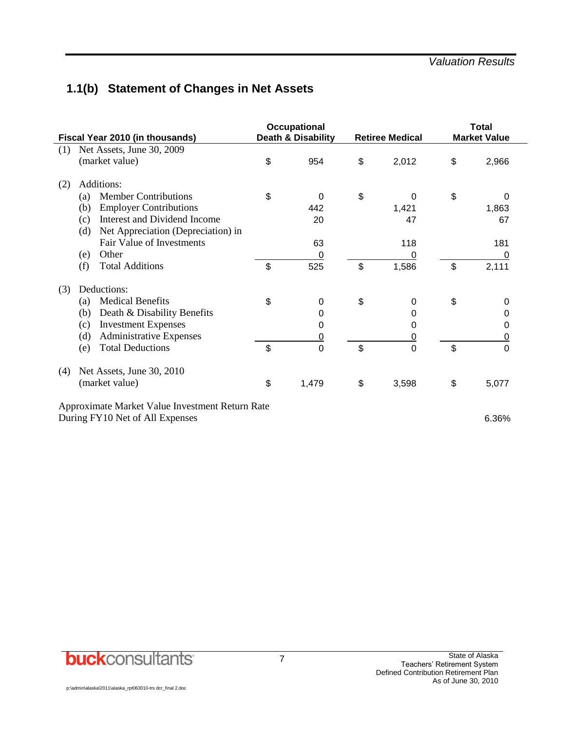## **1.1(b) Statement of Changes in Net Assets**

| Fiscal Year 2010 (in thousands)                 | Occupational<br>Death & Disability | <b>Retiree Medical</b> | <b>Total</b><br><b>Market Value</b> |
|-------------------------------------------------|------------------------------------|------------------------|-------------------------------------|
| Net Assets, June 30, 2009<br>(1)                |                                    |                        |                                     |
| (market value)                                  | \$<br>954                          | \$<br>2,012            | \$<br>2,966                         |
| Additions:<br>(2)                               |                                    |                        |                                     |
| <b>Member Contributions</b><br>(a)              | \$<br>0                            | \$<br>0                | \$<br>0                             |
| <b>Employer Contributions</b><br>(b)            | 442                                | 1,421                  | 1,863                               |
| Interest and Dividend Income<br>(c)             | 20                                 | 47                     | 67                                  |
| Net Appreciation (Depreciation) in<br>(d)       |                                    |                        |                                     |
| Fair Value of Investments                       | 63                                 | 118                    | 181                                 |
| Other<br>(e)                                    | 0                                  | 0                      | 0                                   |
| <b>Total Additions</b><br>(f)                   | \$<br>525                          | \$<br>1,586            | \$<br>2,111                         |
| Deductions:<br>(3)                              |                                    |                        |                                     |
| <b>Medical Benefits</b><br>(a)                  | \$<br>$\boldsymbol{0}$             | \$<br>0                | \$<br>0                             |
| Death & Disability Benefits<br>(b)              | 0                                  | 0                      | 0                                   |
| <b>Investment Expenses</b><br>(c)               | 0                                  | 0                      | 0                                   |
| <b>Administrative Expenses</b><br>(d)           | <u>0</u>                           | 0                      | 0                                   |
| <b>Total Deductions</b><br>(e)                  | \$<br>$\overline{0}$               | \$<br>0                | \$<br>$\overline{0}$                |
| Net Assets, June 30, 2010<br>(4)                |                                    |                        |                                     |
| (market value)                                  | \$<br>1,479                        | \$<br>3,598            | \$<br>5,077                         |
| Approximate Market Value Investment Return Rate |                                    |                        |                                     |
| During FY10 Net of All Expenses                 |                                    |                        | 6.36%                               |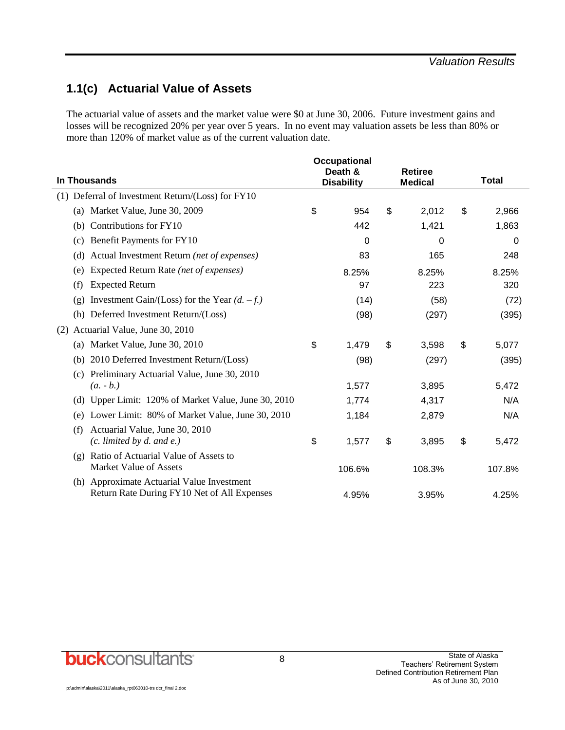## **1.1(c) Actuarial Value of Assets**

The actuarial value of assets and the market value were \$0 at June 30, 2006. Future investment gains and losses will be recognized 20% per year over 5 years. In no event may valuation assets be less than 80% or more than 120% of market value as of the current valuation date.

|                                                                           |                   | <b>Occupational</b><br>Death & |                | <b>Retiree</b> |              |        |
|---------------------------------------------------------------------------|-------------------|--------------------------------|----------------|----------------|--------------|--------|
| <b>In Thousands</b>                                                       | <b>Disability</b> |                                | <b>Medical</b> |                | <b>Total</b> |        |
| Deferral of Investment Return/(Loss) for FY10<br>(1)                      |                   |                                |                |                |              |        |
| (a) Market Value, June 30, 2009                                           | \$                | 954                            | \$             | 2,012          | \$           | 2,966  |
| Contributions for FY10<br>(b)                                             |                   | 442                            |                | 1,421          |              | 1,863  |
| Benefit Payments for FY10<br>(c)                                          |                   | 0                              |                | 0              |              | 0      |
| Actual Investment Return (net of expenses)<br>(d)                         |                   | 83                             |                | 165            |              | 248    |
| Expected Return Rate (net of expenses)<br>(e)                             |                   | 8.25%                          |                | 8.25%          |              | 8.25%  |
| <b>Expected Return</b><br>(f)                                             |                   | 97                             |                | 223            |              | 320    |
| Investment Gain/(Loss) for the Year $(d. -f.)$<br>(g)                     |                   | (14)                           |                | (58)           |              | (72)   |
| (h) Deferred Investment Return/(Loss)                                     |                   | (98)                           |                | (297)          |              | (395)  |
| (2) Actuarial Value, June 30, 2010                                        |                   |                                |                |                |              |        |
| Market Value, June 30, 2010<br>(a)                                        | \$                | 1,479                          | \$             | 3,598          | \$           | 5,077  |
| 2010 Deferred Investment Return/(Loss)<br>(b)                             |                   | (98)                           |                | (297)          |              | (395)  |
| Preliminary Actuarial Value, June 30, 2010<br>(c)                         |                   |                                |                |                |              |        |
| $(a. - b.)$                                                               |                   | 1,577                          |                | 3,895          |              | 5,472  |
| (d) Upper Limit: 120% of Market Value, June 30, 2010                      |                   | 1,774                          |                | 4,317          |              | N/A    |
| Lower Limit: 80% of Market Value, June 30, 2010<br>(e)                    |                   | 1,184                          |                | 2,879          |              | N/A    |
| Actuarial Value, June 30, 2010<br>(f)<br>$(c.$ limited by $d.$ and $e.$ ) | \$                | 1,577                          | \$             | 3,895          | \$           | 5,472  |
| Ratio of Actuarial Value of Assets to<br>$\left( \varrho \right)$         |                   |                                |                |                |              |        |
| <b>Market Value of Assets</b>                                             |                   | 106.6%                         |                | 108.3%         |              | 107.8% |
| (h) Approximate Actuarial Value Investment                                |                   |                                |                |                |              |        |
| Return Rate During FY10 Net of All Expenses                               |                   | 4.95%                          |                | 3.95%          |              | 4.25%  |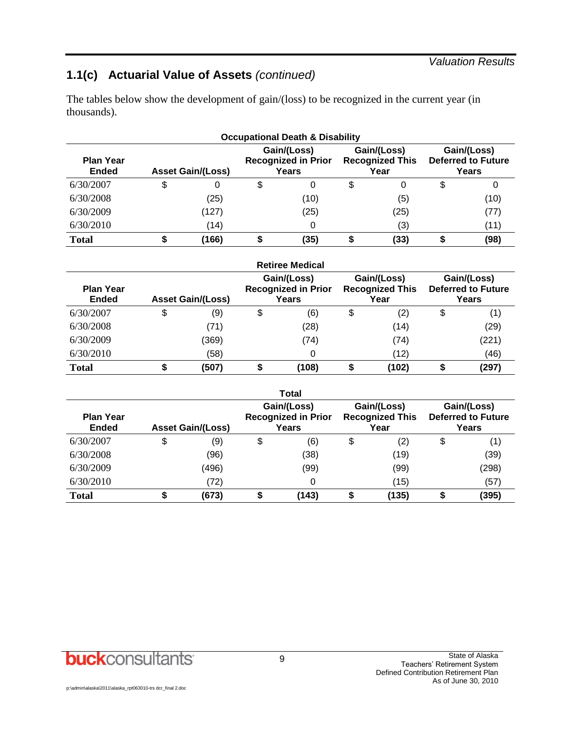#### *Valuation Results*

## **1.1(c) Actuarial Value of Assets** *(continued)*

The tables below show the development of gain/(loss) to be recognized in the current year (in thousands).

| <b>Occupational Death &amp; Disability</b> |    |                          |    |                                                    |    |                                               |   |                                                   |  |
|--------------------------------------------|----|--------------------------|----|----------------------------------------------------|----|-----------------------------------------------|---|---------------------------------------------------|--|
| <b>Plan Year</b><br><b>Ended</b>           |    | <b>Asset Gain/(Loss)</b> |    | Gain/(Loss)<br><b>Recognized in Prior</b><br>Years |    | Gain/(Loss)<br><b>Recognized This</b><br>Year |   | Gain/(Loss)<br><b>Deferred to Future</b><br>Years |  |
| 6/30/2007                                  | \$ |                          | \$ | 0                                                  | \$ | 0                                             | S | 0                                                 |  |
| 6/30/2008                                  |    | (25)                     |    | (10)                                               |    | (5)                                           |   | (10)                                              |  |
| 6/30/2009                                  |    | (127)                    |    | (25)                                               |    | (25)                                          |   | (77)                                              |  |
| 6/30/2010                                  |    | (14)                     |    |                                                    |    | (3)                                           |   | (11)                                              |  |
| <b>Total</b>                               |    | (166)                    |    | (35)                                               |    | (33)                                          |   | (98)                                              |  |

|                                  |    |                          |    | <b>Retiree Medical</b>                             |                                               |                                                   |
|----------------------------------|----|--------------------------|----|----------------------------------------------------|-----------------------------------------------|---------------------------------------------------|
| <b>Plan Year</b><br><b>Ended</b> |    | <b>Asset Gain/(Loss)</b> |    | Gain/(Loss)<br><b>Recognized in Prior</b><br>Years | Gain/(Loss)<br><b>Recognized This</b><br>Year | Gain/(Loss)<br><b>Deferred to Future</b><br>Years |
| 6/30/2007                        | \$ | (9)                      | \$ | (6)                                                | \$<br>(2)                                     | \$<br>(1)                                         |
| 6/30/2008                        |    | (71)                     |    | (28)                                               | (14)                                          | (29)                                              |
| 6/30/2009                        |    | (369)                    |    | (74)                                               | (74)                                          | (221)                                             |
| 6/30/2010                        |    | (58)                     |    |                                                    | (12)                                          | (46)                                              |
| <b>Total</b>                     | ⊅  | (507)                    | ₽  | (108)                                              | (102)                                         | (297)                                             |

|                                  |                          |    | Total                                              |    |                                               |    |                                                   |
|----------------------------------|--------------------------|----|----------------------------------------------------|----|-----------------------------------------------|----|---------------------------------------------------|
| <b>Plan Year</b><br><b>Ended</b> | <b>Asset Gain/(Loss)</b> |    | Gain/(Loss)<br><b>Recognized in Prior</b><br>Years |    | Gain/(Loss)<br><b>Recognized This</b><br>Year |    | Gain/(Loss)<br><b>Deferred to Future</b><br>Years |
| 6/30/2007                        | \$<br>(9)                | \$ | (6)                                                | \$ | (2)                                           | \$ | (1)                                               |
| 6/30/2008                        | (96)                     |    | (38)                                               |    | (19)                                          |    | (39)                                              |
| 6/30/2009                        | (496)                    |    | (99)                                               |    | (99)                                          |    | (298)                                             |
| 6/30/2010                        | (72)                     |    |                                                    |    | (15)                                          |    | (57)                                              |
| <b>Total</b>                     | \$<br>(673)              | ₽  | (143)                                              | ₽  | (135)                                         | Φ  | (395)                                             |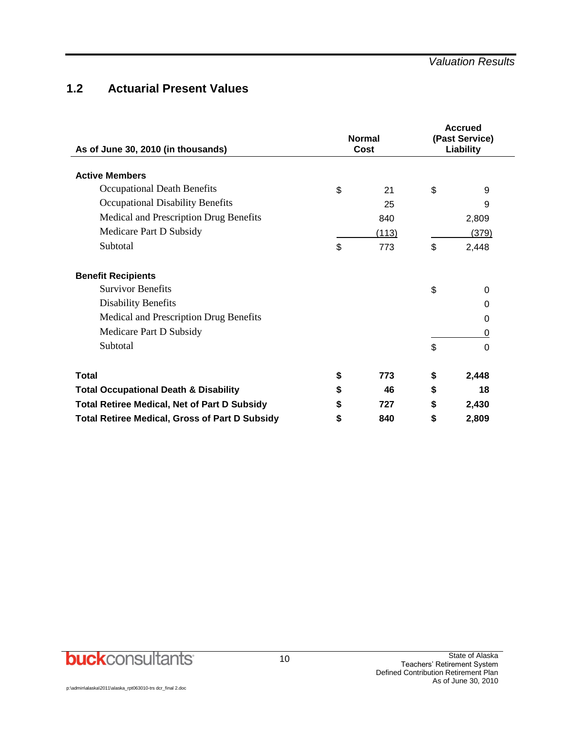## **1.2 Actuarial Present Values**

| As of June 30, 2010 (in thousands)                    | <b>Normal</b><br>Cost | <b>Accrued</b><br>(Past Service)<br>Liability |          |  |
|-------------------------------------------------------|-----------------------|-----------------------------------------------|----------|--|
| <b>Active Members</b>                                 |                       |                                               |          |  |
| Occupational Death Benefits                           | \$<br>21              | \$                                            | 9        |  |
| Occupational Disability Benefits                      | 25                    |                                               | 9        |  |
| Medical and Prescription Drug Benefits                | 840                   |                                               | 2,809    |  |
| Medicare Part D Subsidy                               | (113)                 |                                               | (379)    |  |
| Subtotal                                              | \$<br>773             | \$                                            | 2,448    |  |
| <b>Benefit Recipients</b>                             |                       |                                               |          |  |
| <b>Survivor Benefits</b>                              |                       | \$                                            | $\Omega$ |  |
| <b>Disability Benefits</b>                            |                       |                                               | 0        |  |
| Medical and Prescription Drug Benefits                |                       |                                               | 0        |  |
| Medicare Part D Subsidy                               |                       |                                               | 0        |  |
| Subtotal                                              |                       | \$                                            | 0        |  |
| <b>Total</b>                                          | \$<br>773             | \$                                            | 2,448    |  |
| <b>Total Occupational Death &amp; Disability</b>      | \$<br>46              | \$                                            | 18       |  |
| <b>Total Retiree Medical, Net of Part D Subsidy</b>   | \$<br>727             | \$                                            | 2,430    |  |
| <b>Total Retiree Medical, Gross of Part D Subsidy</b> | \$<br>840             | \$                                            | 2,809    |  |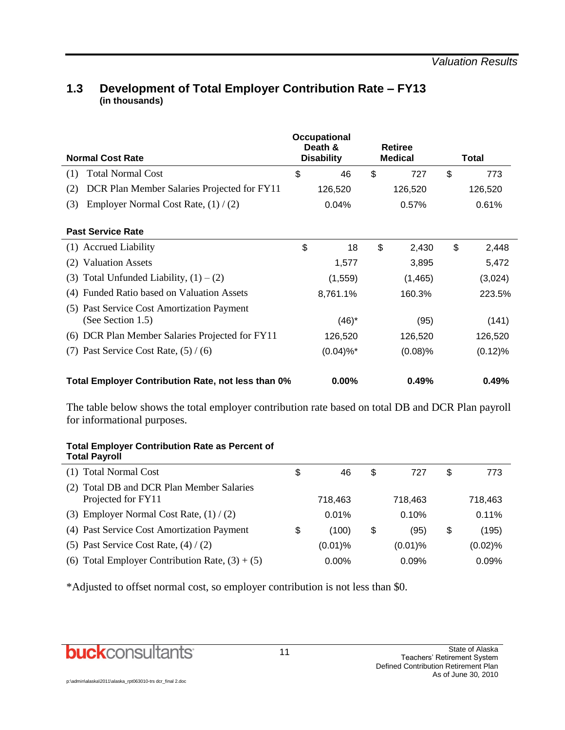### **Normal Cost Rate Occupational Death & Disability Retiree Medical Total** (1) Total Normal Cost \$ 46 \$ 727 \$ 773 (2) DCR Plan Member Salaries Projected for FY11 126,520 126,520 126,520 126,520 (3) Employer Normal Cost Rate,  $(1) / (2)$  0.04% 0.57% 0.61% **Past Service Rate** (1) Accrued Liability \$ 18 \$ 2,430 \$ 2,448 (2) Valuation Assets 1,577 3,895 5,472 (3) Total Unfunded Liability,  $(1) - (2)$  (1,559) (1,465) (3,024) (4) Funded Ratio based on Valuation Assets 8,761.1% 160.3% 223.5% (5) Past Service Cost Amortization Payment (See Section 1.5)  $(46)^*$  (95) (141) (6) DCR Plan Member Salaries Projected for  $FY11$  126,520 126,520 126,520 (7) Past Service Cost Rate,  $(5) / (6)$  (0.04)%\* (0.08)% (0.12)% **Total Employer Contribution Rate, not less than 0% 0.00% 0.49% 0.49%**

#### **1.3 Development of Total Employer Contribution Rate – FY13 (in thousands)**

The table below shows the total employer contribution rate based on total DB and DCR Plan payroll for informational purposes.

#### **Total Employer Contribution Rate as Percent of Total Payroll**

| (1) Total Normal Cost                                           | \$ | 46         | \$<br>727  | \$<br>773   |
|-----------------------------------------------------------------|----|------------|------------|-------------|
| (2) Total DB and DCR Plan Member Salaries<br>Projected for FY11 |    | 718.463    | 718.463    | 718.463     |
| (3) Employer Normal Cost Rate, $(1) / (2)$                      |    | 0.01%      | 0.10%      | $0.11\%$    |
| (4) Past Service Cost Amortization Payment                      | S  | (100)      | \$<br>(95) | \$<br>(195) |
| (5) Past Service Cost Rate, $(4) / (2)$                         |    | $(0.01)$ % | $(0.01)\%$ | $(0.02)$ %  |
| (6) Total Employer Contribution Rate, $(3) + (5)$               |    | $0.00\%$   | 0.09%      | 0.09%       |

\*Adjusted to offset normal cost, so employer contribution is not less than \$0.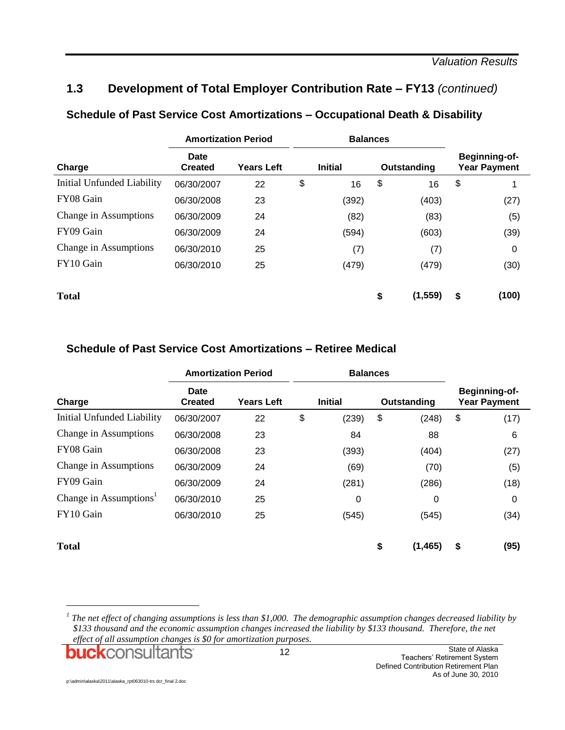## **1.3 Development of Total Employer Contribution Rate – FY13** *(continued)*

|                            | <b>Amortization Period</b>    |                   | <b>Balances</b> |                |                                             |
|----------------------------|-------------------------------|-------------------|-----------------|----------------|---------------------------------------------|
| Charge                     | <b>Date</b><br><b>Created</b> | <b>Years Left</b> | <b>Initial</b>  | Outstanding    | <b>Beginning-of-</b><br><b>Year Payment</b> |
| Initial Unfunded Liability | 06/30/2007                    | 22                | \$<br>16        | \$<br>16       | \$                                          |
| FY08 Gain                  | 06/30/2008                    | 23                | (392)           | (403)          | (27)                                        |
| Change in Assumptions      | 06/30/2009                    | 24                | (82)            | (83)           | (5)                                         |
| FY09 Gain                  | 06/30/2009                    | 24                | (594)           | (603)          | (39)                                        |
| Change in Assumptions      | 06/30/2010                    | 25                | (7)             | (7)            | $\Omega$                                    |
| FY10 Gain                  | 06/30/2010                    | 25                | (479)           | (479)          | (30)                                        |
| <b>Total</b>               |                               |                   |                 | \$<br>(1, 559) | \$<br>(100)                                 |

#### **Schedule of Past Service Cost Amortizations – Occupational Death & Disability**

#### **Schedule of Past Service Cost Amortizations – Retiree Medical**

|                                    | <b>Amortization Period</b>    |                   | <b>Balances</b> |                |                                      |
|------------------------------------|-------------------------------|-------------------|-----------------|----------------|--------------------------------------|
| Charge                             | <b>Date</b><br><b>Created</b> | <b>Years Left</b> | <b>Initial</b>  | Outstanding    | Beginning-of-<br><b>Year Payment</b> |
| Initial Unfunded Liability         | 06/30/2007                    | 22                | \$<br>(239)     | \$<br>(248)    | \$<br>(17)                           |
| Change in Assumptions              | 06/30/2008                    | 23                | 84              | 88             | 6                                    |
| FY08 Gain                          | 06/30/2008                    | 23                | (393)           | (404)          | (27)                                 |
| Change in Assumptions              | 06/30/2009                    | 24                | (69)            | (70)           | (5)                                  |
| FY09 Gain                          | 06/30/2009                    | 24                | (281)           | (286)          | (18)                                 |
| Change in Assumptions <sup>1</sup> | 06/30/2010                    | 25                | 0               | 0              | 0                                    |
| FY10 Gain                          | 06/30/2010                    | 25                | (545)           | (545)          | (34)                                 |
| <b>Total</b>                       |                               |                   |                 | \$<br>(1, 465) | \$<br>(95)                           |

<sup>1</sup> The net effect of changing assumptions is less than \$1,000. The demographic assumption changes decreased liability by *\$133 thousand and the economic assumption changes increased the liability by \$133 thousand. Therefore, the net effect of all assumption changes is \$0 for amortization purposes.*

**buck**consultants

l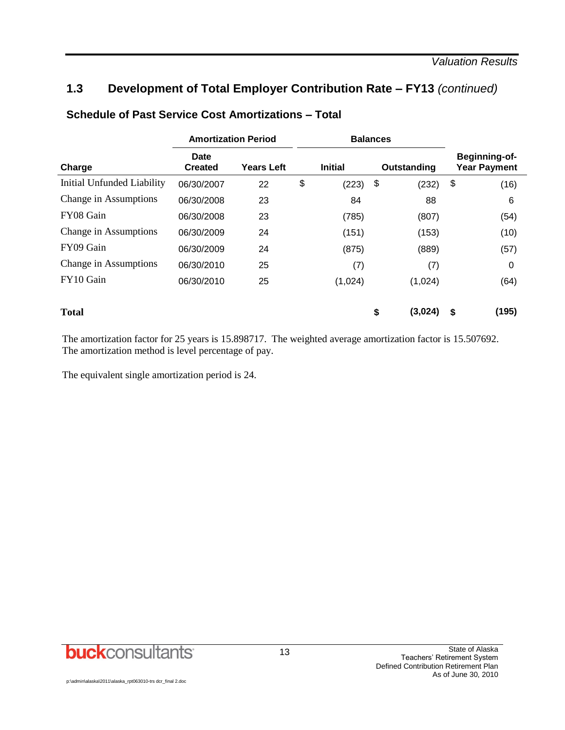## **1.3 Development of Total Employer Contribution Rate – FY13** *(continued)*

| <b>Amortization Period</b> |                               |                   | <b>Balances</b> |    |             |                                      |
|----------------------------|-------------------------------|-------------------|-----------------|----|-------------|--------------------------------------|
| Charge                     | <b>Date</b><br><b>Created</b> | <b>Years Left</b> | <b>Initial</b>  |    | Outstanding | Beginning-of-<br><b>Year Payment</b> |
| Initial Unfunded Liability | 06/30/2007                    | 22                | \$<br>(223)     | \$ | (232)       | \$<br>(16)                           |
| Change in Assumptions      | 06/30/2008                    | 23                | 84              |    | 88          | 6                                    |
| FY08 Gain                  | 06/30/2008                    | 23                | (785)           |    | (807)       | (54)                                 |
| Change in Assumptions      | 06/30/2009                    | 24                | (151)           |    | (153)       | (10)                                 |
| FY09 Gain                  | 06/30/2009                    | 24                | (875)           |    | (889)       | (57)                                 |
| Change in Assumptions      | 06/30/2010                    | 25                | (7)             |    | (7)         | 0                                    |
| FY10 Gain                  | 06/30/2010                    | 25                | (1,024)         |    | (1,024)     | (64)                                 |
| <b>Total</b>               |                               |                   |                 | \$ | (3,024)     | \$<br>(195)                          |

#### **Schedule of Past Service Cost Amortizations – Total**

The amortization factor for 25 years is 15.898717. The weighted average amortization factor is 15.507692. The amortization method is level percentage of pay.

The equivalent single amortization period is 24.

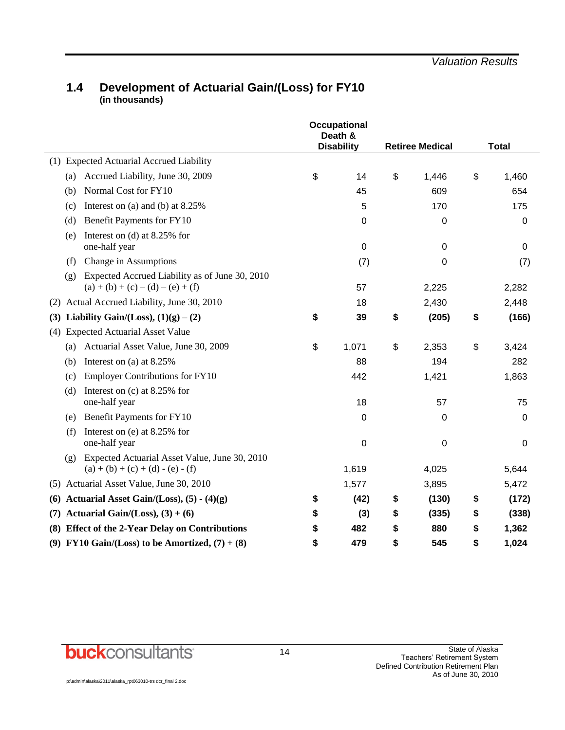#### **1.4 Development of Actuarial Gain/(Loss) for FY10 (in thousands)**

|     |                                                                                              | <b>Occupational</b><br>Death &<br><b>Disability</b> | <b>Retiree Medical</b> | <b>Total</b> |  |
|-----|----------------------------------------------------------------------------------------------|-----------------------------------------------------|------------------------|--------------|--|
|     | (1) Expected Actuarial Accrued Liability                                                     |                                                     |                        |              |  |
|     | Accrued Liability, June 30, 2009<br>(a)                                                      | \$<br>14                                            | \$<br>1,446            | \$<br>1,460  |  |
|     | Normal Cost for FY10<br>(b)                                                                  | 45                                                  | 609                    | 654          |  |
|     | Interest on (a) and (b) at $8.25\%$<br>(c)                                                   | 5                                                   | 170                    | 175          |  |
|     | Benefit Payments for FY10<br>(d)                                                             | 0                                                   | 0                      | 0            |  |
|     | Interest on (d) at $8.25\%$ for<br>(e)<br>one-half year                                      | $\mathbf 0$                                         | 0                      | 0            |  |
|     | Change in Assumptions<br>(f)                                                                 | (7)                                                 | 0                      | (7)          |  |
|     | Expected Accrued Liability as of June 30, 2010<br>(g)<br>$(a) + (b) + (c) - (d) - (e) + (f)$ | 57                                                  | 2,225                  | 2,282        |  |
| (2) | Actual Accrued Liability, June 30, 2010                                                      | 18                                                  | 2,430                  | 2,448        |  |
| (3) | Liability Gain/(Loss), $(1)(g) - (2)$                                                        | \$<br>39                                            | \$<br>(205)            | \$<br>(166)  |  |
| (4) | <b>Expected Actuarial Asset Value</b>                                                        |                                                     |                        |              |  |
|     | (a) Actuarial Asset Value, June 30, 2009                                                     | \$<br>1,071                                         | \$<br>2,353            | \$<br>3,424  |  |
|     | Interest on (a) at $8.25\%$<br>(b)                                                           | 88                                                  | 194                    | 282          |  |
|     | <b>Employer Contributions for FY10</b><br>(c)                                                | 442                                                 | 1,421                  | 1,863        |  |
|     | Interest on $(c)$ at 8.25% for<br>(d)<br>one-half year                                       | 18                                                  | 57                     | 75           |  |
|     | Benefit Payments for FY10<br>(e)                                                             | 0                                                   | 0                      | 0            |  |
|     | Interest on (e) at 8.25% for<br>(f)<br>one-half year                                         | $\mathbf 0$                                         | 0                      | 0            |  |
|     | Expected Actuarial Asset Value, June 30, 2010<br>(g)<br>$(a) + (b) + (c) + (d) - (e) - (f)$  | 1,619                                               | 4,025                  | 5,644        |  |
| (5) | Actuarial Asset Value, June 30, 2010                                                         | 1,577                                               | 3,895                  | 5,472        |  |
| (6) | Actuarial Asset Gain/(Loss), $(5) - (4)(g)$                                                  | \$<br>(42)                                          | \$<br>(130)            | \$<br>(172)  |  |
| (7) | Actuarial Gain/(Loss), $(3) + (6)$                                                           | \$<br>(3)                                           | \$<br>(335)            | \$<br>(338)  |  |
|     | (8) Effect of the 2-Year Delay on Contributions                                              | \$<br>482                                           | \$<br>880              | \$<br>1,362  |  |
|     | (9) FY10 Gain/(Loss) to be Amortized, $(7) + (8)$                                            | \$<br>479                                           | \$<br>545              | \$<br>1,024  |  |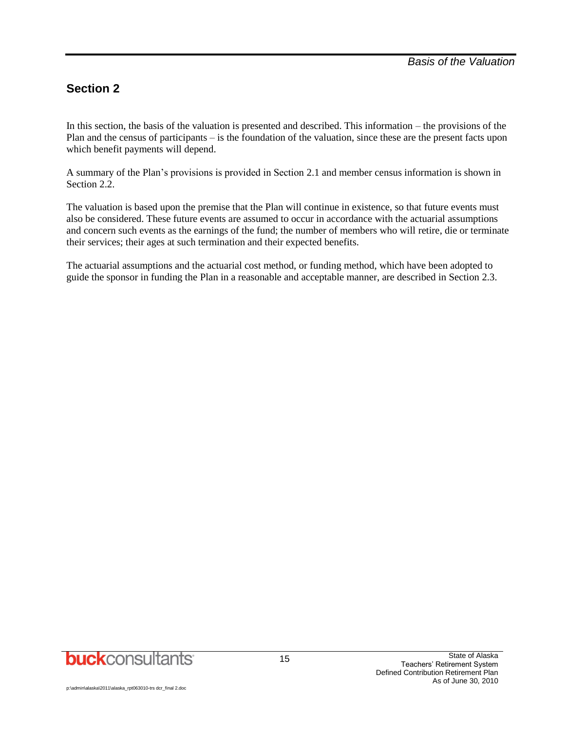## **Section 2**

In this section, the basis of the valuation is presented and described. This information – the provisions of the Plan and the census of participants – is the foundation of the valuation, since these are the present facts upon which benefit payments will depend.

A summary of the Plan's provisions is provided in Section 2.1 and member census information is shown in Section 2.2.

The valuation is based upon the premise that the Plan will continue in existence, so that future events must also be considered. These future events are assumed to occur in accordance with the actuarial assumptions and concern such events as the earnings of the fund; the number of members who will retire, die or terminate their services; their ages at such termination and their expected benefits.

The actuarial assumptions and the actuarial cost method, or funding method, which have been adopted to guide the sponsor in funding the Plan in a reasonable and acceptable manner, are described in Section 2.3.

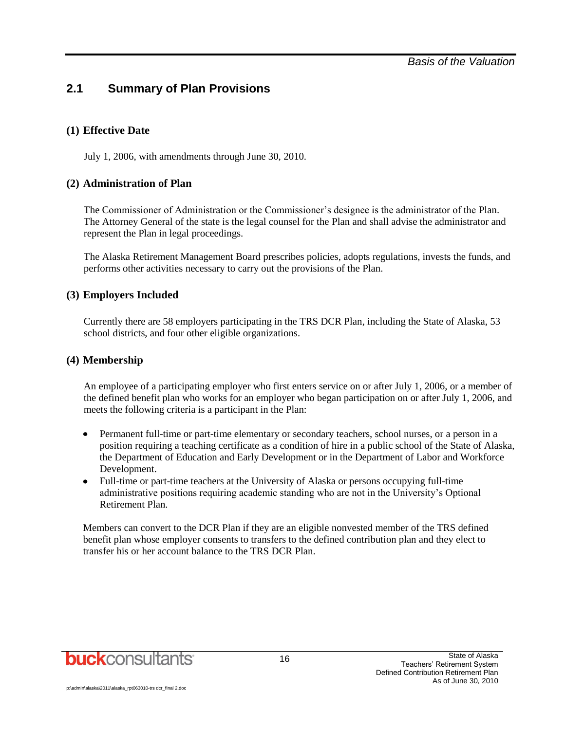## **2.1 Summary of Plan Provisions**

#### **(1) Effective Date**

July 1, 2006, with amendments through June 30, 2010.

#### **(2) Administration of Plan**

The Commissioner of Administration or the Commissioner's designee is the administrator of the Plan. The Attorney General of the state is the legal counsel for the Plan and shall advise the administrator and represent the Plan in legal proceedings.

The Alaska Retirement Management Board prescribes policies, adopts regulations, invests the funds, and performs other activities necessary to carry out the provisions of the Plan.

#### **(3) Employers Included**

Currently there are 58 employers participating in the TRS DCR Plan, including the State of Alaska, 53 school districts, and four other eligible organizations.

#### **(4) Membership**

An employee of a participating employer who first enters service on or after July 1, 2006, or a member of the defined benefit plan who works for an employer who began participation on or after July 1, 2006, and meets the following criteria is a participant in the Plan:

- Permanent full-time or part-time elementary or secondary teachers, school nurses, or a person in a  $\bullet$ position requiring a teaching certificate as a condition of hire in a public school of the State of Alaska, the Department of Education and Early Development or in the Department of Labor and Workforce Development.
- Full-time or part-time teachers at the University of Alaska or persons occupying full-time administrative positions requiring academic standing who are not in the University's Optional Retirement Plan.

Members can convert to the DCR Plan if they are an eligible nonvested member of the TRS defined benefit plan whose employer consents to transfers to the defined contribution plan and they elect to transfer his or her account balance to the TRS DCR Plan.

**buck**consultants

p:\admin\alaska\2011\alaska\_rpt063010-trs dcr\_final 2.doc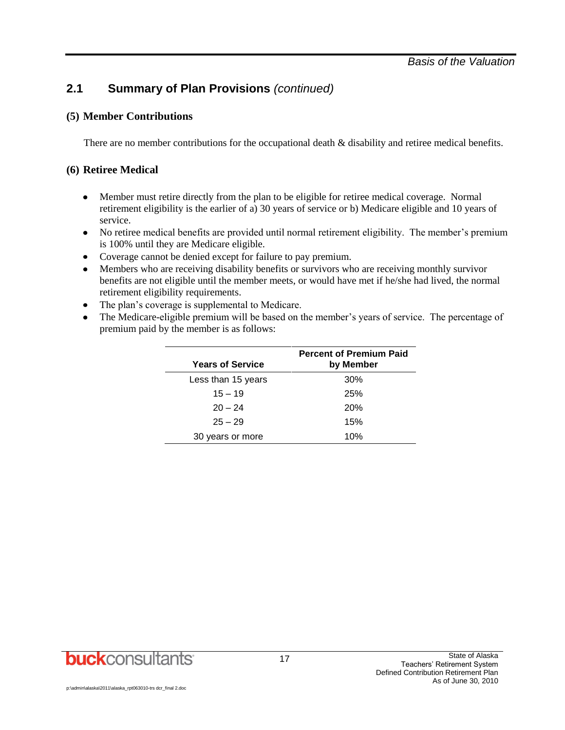## **2.1 Summary of Plan Provisions** *(continued)*

#### **(5) Member Contributions**

There are no member contributions for the occupational death  $\&$  disability and retiree medical benefits.

#### **(6) Retiree Medical**

- Member must retire directly from the plan to be eligible for retiree medical coverage. Normal  $\bullet$ retirement eligibility is the earlier of a) 30 years of service or b) Medicare eligible and 10 years of service.
- No retiree medical benefits are provided until normal retirement eligibility. The member's premium is 100% until they are Medicare eligible.
- Coverage cannot be denied except for failure to pay premium.
- Members who are receiving disability benefits or survivors who are receiving monthly survivor benefits are not eligible until the member meets, or would have met if he/she had lived, the normal retirement eligibility requirements.
- The plan's coverage is supplemental to Medicare.  $\bullet$
- The Medicare-eligible premium will be based on the member's years of service. The percentage of  $\bullet$ premium paid by the member is as follows:

| <b>Years of Service</b> | <b>Percent of Premium Paid</b><br>by Member |
|-------------------------|---------------------------------------------|
| Less than 15 years      | 30%                                         |
| $15 - 19$               | 25%                                         |
| $20 - 24$               | 20%                                         |
| $25 - 29$               | 15%                                         |
| 30 years or more        | 10%                                         |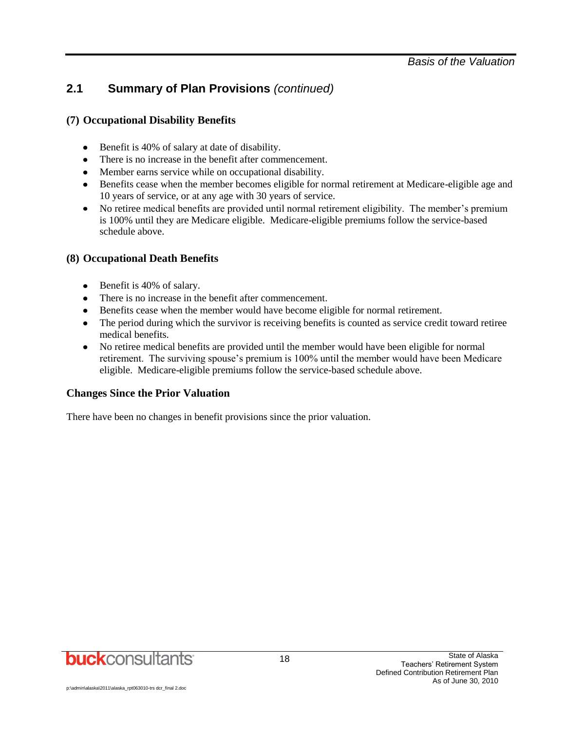## **2.1 Summary of Plan Provisions** *(continued)*

#### **(7) Occupational Disability Benefits**

- Benefit is 40% of salary at date of disability.
- There is no increase in the benefit after commencement.
- Member earns service while on occupational disability.
- Benefits cease when the member becomes eligible for normal retirement at Medicare-eligible age and 10 years of service, or at any age with 30 years of service.
- No retiree medical benefits are provided until normal retirement eligibility. The member's premium is 100% until they are Medicare eligible. Medicare-eligible premiums follow the service-based schedule above.

#### **(8) Occupational Death Benefits**

- Benefit is 40% of salary.
- There is no increase in the benefit after commencement.
- Benefits cease when the member would have become eligible for normal retirement.
- The period during which the survivor is receiving benefits is counted as service credit toward retiree medical benefits.
- No retiree medical benefits are provided until the member would have been eligible for normal  $\bullet$ retirement. The surviving spouse's premium is 100% until the member would have been Medicare eligible. Medicare-eligible premiums follow the service-based schedule above.

#### **Changes Since the Prior Valuation**

There have been no changes in benefit provisions since the prior valuation.

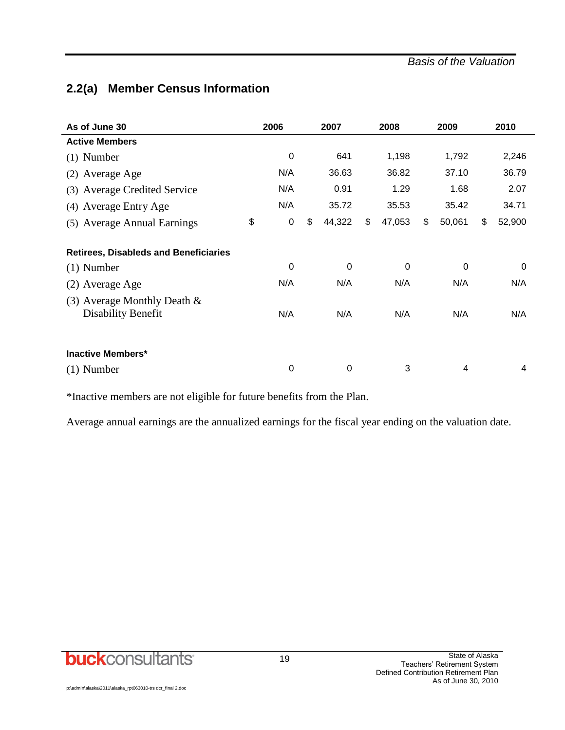#### *Basis of the Valuation*

## **2.2(a) Member Census Information**

| As of June 30                                        | 2006            | 2007         | 2008         | 2009         | 2010         |
|------------------------------------------------------|-----------------|--------------|--------------|--------------|--------------|
| <b>Active Members</b>                                |                 |              |              |              |              |
| $(1)$ Number                                         | $\mathbf 0$     | 641          | 1,198        | 1,792        | 2,246        |
| (2) Average Age                                      | N/A             | 36.63        | 36.82        | 37.10        | 36.79        |
| (3) Average Credited Service                         | N/A             | 0.91         | 1.29         | 1.68         | 2.07         |
| (4) Average Entry Age                                | N/A             | 35.72        | 35.53        | 35.42        | 34.71        |
| (5) Average Annual Earnings                          | \$<br>$\pmb{0}$ | \$<br>44,322 | \$<br>47,053 | \$<br>50,061 | \$<br>52,900 |
| <b>Retirees, Disableds and Beneficiaries</b>         |                 |              |              |              |              |
| $(1)$ Number                                         | $\mathbf 0$     | $\mathbf 0$  | 0            | $\mathbf 0$  | 0            |
| (2) Average Age                                      | N/A             | N/A          | N/A          | N/A          | N/A          |
| (3) Average Monthly Death $\&$<br>Disability Benefit | N/A             | N/A          | N/A          | N/A          | N/A          |
| <b>Inactive Members*</b>                             |                 |              |              |              |              |
| $(1)$ Number                                         | 0               | 0            | 3            | 4            | 4            |

\*Inactive members are not eligible for future benefits from the Plan.

Average annual earnings are the annualized earnings for the fiscal year ending on the valuation date.

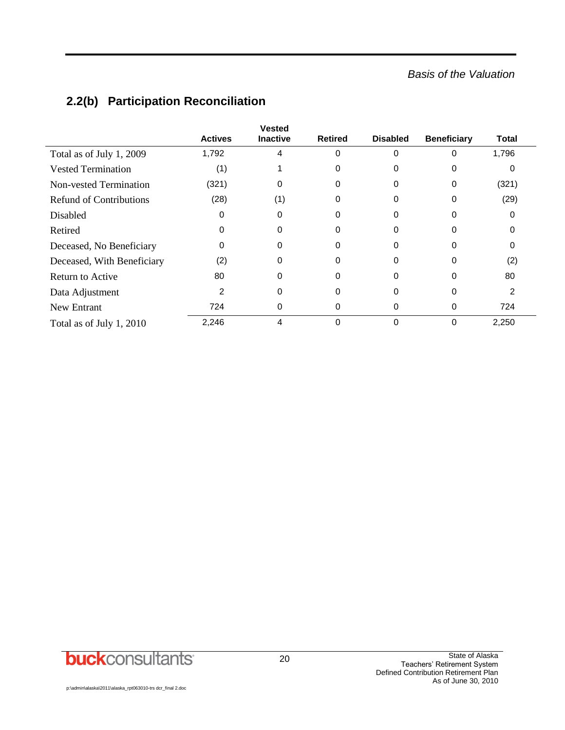## *Basis of the Valuation*

|                                | <b>Actives</b> | <b>Vested</b><br><b>Inactive</b> | Retired  | <b>Disabled</b> | <b>Beneficiary</b> | Total |
|--------------------------------|----------------|----------------------------------|----------|-----------------|--------------------|-------|
| Total as of July 1, 2009       | 1,792          | 4                                | $\Omega$ | 0               | 0                  | 1,796 |
| <b>Vested Termination</b>      | (1)            |                                  | $\Omega$ | 0               | 0                  |       |
| <b>Non-vested Termination</b>  | (321)          | 0                                | 0        | 0               | 0                  | (321) |
| <b>Refund of Contributions</b> | (28)           | (1)                              | 0        | 0               | 0                  | (29)  |
| <b>Disabled</b>                | 0              | 0                                | 0        | 0               | 0                  |       |
| Retired                        | 0              | 0                                | 0        | 0               | 0                  |       |
| Deceased, No Beneficiary       | 0              | 0                                | $\Omega$ | 0               | 0                  |       |
| Deceased, With Beneficiary     | (2)            | $\Omega$                         | $\Omega$ | $\Omega$        | 0                  | (2)   |
| <b>Return to Active</b>        | 80             | $\Omega$                         | 0        | 0               | 0                  | 80    |
| Data Adjustment                | $\overline{2}$ | 0                                | 0        | 0               | 0                  | 2     |
| New Entrant                    | 724            | 0                                | 0        | 0               | 0                  | 724   |
| Total as of July 1, 2010       | 2,246          | 4                                | $\Omega$ | $\Omega$        | 0                  | 2,250 |

## **2.2(b) Participation Reconciliation**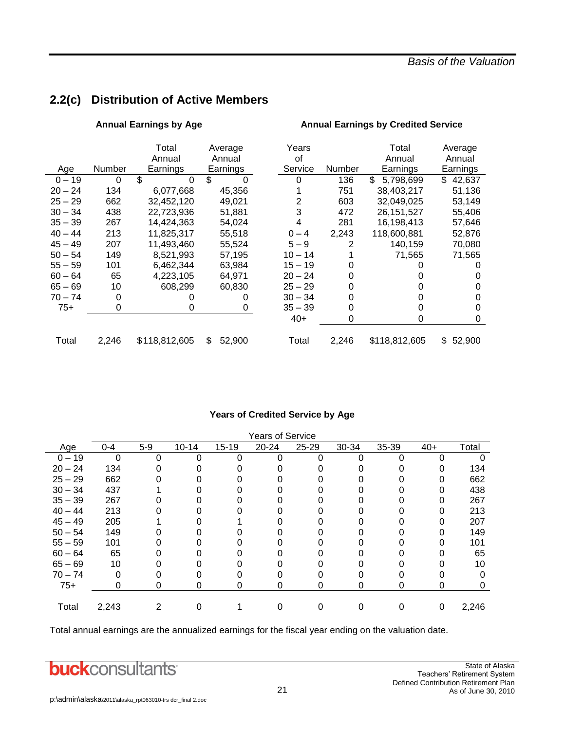## **2.2(c) Distribution of Active Members**

|  | Annual Earnings by Age |  |
|--|------------------------|--|
|--|------------------------|--|

|           |        | Total         | Average      | Years     |        | Total           | Average      |
|-----------|--------|---------------|--------------|-----------|--------|-----------------|--------------|
|           |        | Annual        | Annual       | οf        |        | Annual          | Annual       |
| Age       | Number | Earnings      | Earnings     | Service   | Number | Earnings        | Earnings     |
| $0 - 19$  | 0      | \$<br>0       | \$           | 0         | 136    | \$<br>5,798,699 | \$<br>42,637 |
| 20 – 24   | 134    | 6,077,668     | 45,356       |           | 751    | 38,403,217      | 51,136       |
| 25 – 29   | 662    | 32,452,120    | 49,021       | 2         | 603    | 32,049,025      | 53,149       |
| 30 – 34   | 438    | 22,723,936    | 51,881       | 3         | 472    | 26, 151, 527    | 55,406       |
| 35 – 39   | 267    | 14,424,363    | 54,024       | 4         | 281    | 16,198,413      | 57,646       |
| 40 – 44   | 213    | 11,825,317    | 55,518       | $0 - 4$   | 2.243  | 118,600,881     | 52,876       |
| 45 – 49   | 207    | 11,493,460    | 55,524       | $5 - 9$   | 2      | 140.159         | 70,080       |
| $50 - 54$ | 149    | 8,521,993     | 57,195       | $10 - 14$ |        | 71,565          | 71,565       |
| 55 – 59   | 101    | 6,462,344     | 63,984       | $15 - 19$ |        |                 | O            |
| 60 – 64   | 65     | 4,223,105     | 64.971       | $20 - 24$ | O      |                 |              |
| 65 – 69   | 10     | 608,299       | 60,830       | $25 - 29$ |        |                 | O            |
| 70 – 74   | 0      |               |              | $30 - 34$ |        |                 | 0            |
| $75+$     | 0      |               | 0            | $35 - 39$ |        |                 | 0            |
|           |        |               |              | $40+$     | 0      | O               | 0            |
| Total     | 2,246  | \$118,812,605 | \$<br>52,900 | Total     | 2,246  | \$118,812,605   | 52,900<br>\$ |

### **Annual Earnings by Credited Service**

#### **Years of Credited Service by Age**

|           | Years of Service |       |           |           |           |       |       |       |       |       |
|-----------|------------------|-------|-----------|-----------|-----------|-------|-------|-------|-------|-------|
| Age       | $0 - 4$          | $5-9$ | $10 - 14$ | $15 - 19$ | $20 - 24$ | 25-29 | 30-34 | 35-39 | $40+$ | Total |
| $0 - 19$  | 0                | ი     |           | ∩         | 0         | U     |       |       |       |       |
| $20 - 24$ | 134              |       |           |           |           |       |       |       |       | 134   |
| $25 - 29$ | 662              |       |           |           |           |       |       |       |       | 662   |
| $30 - 34$ | 437              |       |           |           |           |       |       |       | 0     | 438   |
| $35 - 39$ | 267              |       |           |           |           |       |       |       | 0     | 267   |
| $40 - 44$ | 213              |       |           |           |           |       |       |       |       | 213   |
| $45 - 49$ | 205              |       |           |           |           |       |       |       |       | 207   |
| $50 - 54$ | 149              |       |           |           |           |       |       |       |       | 149   |
| $55 - 59$ | 101              |       |           |           |           |       |       |       |       | 101   |
| $60 - 64$ | 65               |       |           |           |           |       |       |       |       | 65    |
| $65 - 69$ | 10               |       |           |           |           |       |       |       |       | 10    |
| $70 - 74$ | 0                |       |           |           |           |       |       |       |       | 0     |
| $75+$     | 0                |       |           | 0         |           |       |       |       | O     | 0     |
|           |                  |       |           |           |           |       |       |       |       |       |
| Total     | 2,243            | 2     |           |           |           |       |       |       | 0     | 2,246 |

Total annual earnings are the annualized earnings for the fiscal year ending on the valuation date.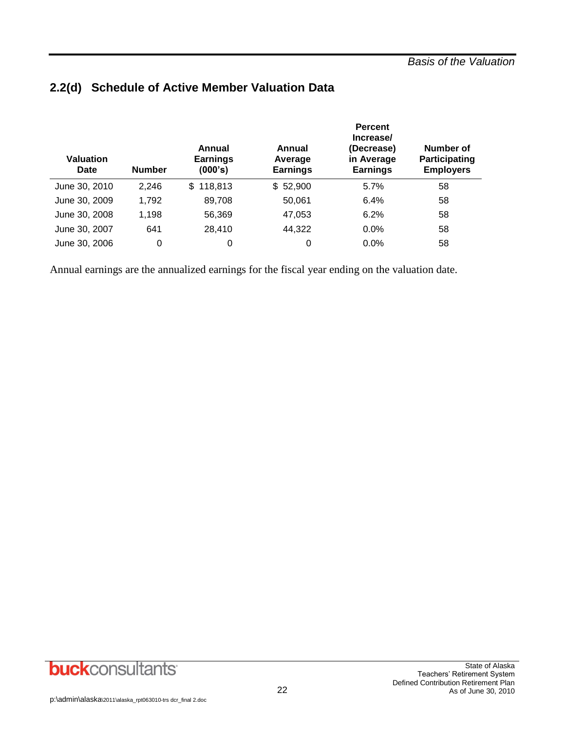| <b>Valuation</b><br>Date | <b>Number</b> | Annual<br><b>Earnings</b><br>(000's) | Annual<br>Average<br><b>Earnings</b> | <b>Percent</b><br>Increase/<br>(Decrease)<br>in Average<br><b>Earnings</b> | Number of<br>Participating<br><b>Employers</b> |
|--------------------------|---------------|--------------------------------------|--------------------------------------|----------------------------------------------------------------------------|------------------------------------------------|
| June 30, 2010            | 2,246         | \$118,813                            | \$52,900                             | 5.7%                                                                       | 58                                             |
| June 30, 2009            | 1,792         | 89,708                               | 50,061                               | 6.4%                                                                       | 58                                             |
| June 30, 2008            | 1,198         | 56,369                               | 47,053                               | 6.2%                                                                       | 58                                             |
| June 30, 2007            | 641           | 28,410                               | 44,322                               | $0.0\%$                                                                    | 58                                             |
| June 30, 2006            | $\Omega$      | 0                                    | 0                                    | $0.0\%$                                                                    | 58                                             |

## **2.2(d) Schedule of Active Member Valuation Data**

Annual earnings are the annualized earnings for the fiscal year ending on the valuation date.

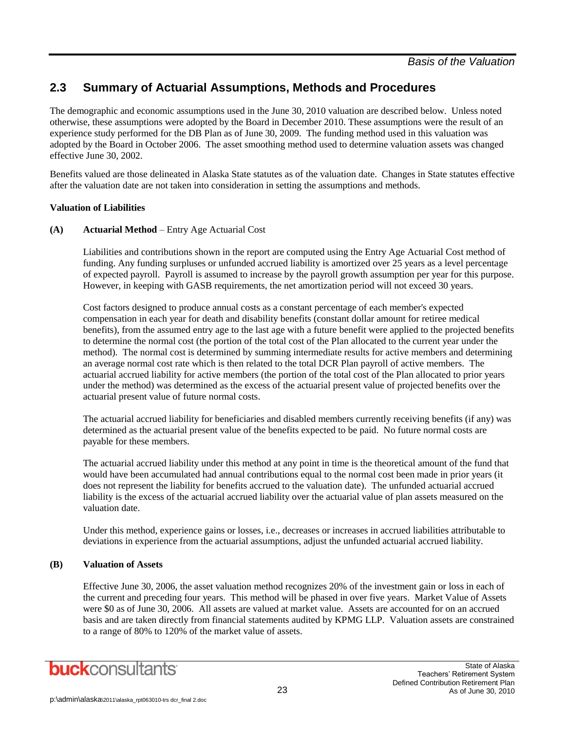The demographic and economic assumptions used in the June 30, 2010 valuation are described below. Unless noted otherwise, these assumptions were adopted by the Board in December 2010. These assumptions were the result of an experience study performed for the DB Plan as of June 30, 2009. The funding method used in this valuation was adopted by the Board in October 2006. The asset smoothing method used to determine valuation assets was changed effective June 30, 2002.

Benefits valued are those delineated in Alaska State statutes as of the valuation date. Changes in State statutes effective after the valuation date are not taken into consideration in setting the assumptions and methods.

#### **Valuation of Liabilities**

#### **(A) Actuarial Method** – Entry Age Actuarial Cost

Liabilities and contributions shown in the report are computed using the Entry Age Actuarial Cost method of funding. Any funding surpluses or unfunded accrued liability is amortized over 25 years as a level percentage of expected payroll. Payroll is assumed to increase by the payroll growth assumption per year for this purpose. However, in keeping with GASB requirements, the net amortization period will not exceed 30 years.

Cost factors designed to produce annual costs as a constant percentage of each member's expected compensation in each year for death and disability benefits (constant dollar amount for retiree medical benefits), from the assumed entry age to the last age with a future benefit were applied to the projected benefits to determine the normal cost (the portion of the total cost of the Plan allocated to the current year under the method). The normal cost is determined by summing intermediate results for active members and determining an average normal cost rate which is then related to the total DCR Plan payroll of active members. The actuarial accrued liability for active members (the portion of the total cost of the Plan allocated to prior years under the method) was determined as the excess of the actuarial present value of projected benefits over the actuarial present value of future normal costs.

The actuarial accrued liability for beneficiaries and disabled members currently receiving benefits (if any) was determined as the actuarial present value of the benefits expected to be paid. No future normal costs are payable for these members.

The actuarial accrued liability under this method at any point in time is the theoretical amount of the fund that would have been accumulated had annual contributions equal to the normal cost been made in prior years (it does not represent the liability for benefits accrued to the valuation date). The unfunded actuarial accrued liability is the excess of the actuarial accrued liability over the actuarial value of plan assets measured on the valuation date.

Under this method, experience gains or losses, i.e., decreases or increases in accrued liabilities attributable to deviations in experience from the actuarial assumptions, adjust the unfunded actuarial accrued liability.

#### **(B) Valuation of Assets**

Effective June 30, 2006, the asset valuation method recognizes 20% of the investment gain or loss in each of the current and preceding four years. This method will be phased in over five years. Market Value of Assets were \$0 as of June 30, 2006. All assets are valued at market value. Assets are accounted for on an accrued basis and are taken directly from financial statements audited by KPMG LLP. Valuation assets are constrained to a range of 80% to 120% of the market value of assets.

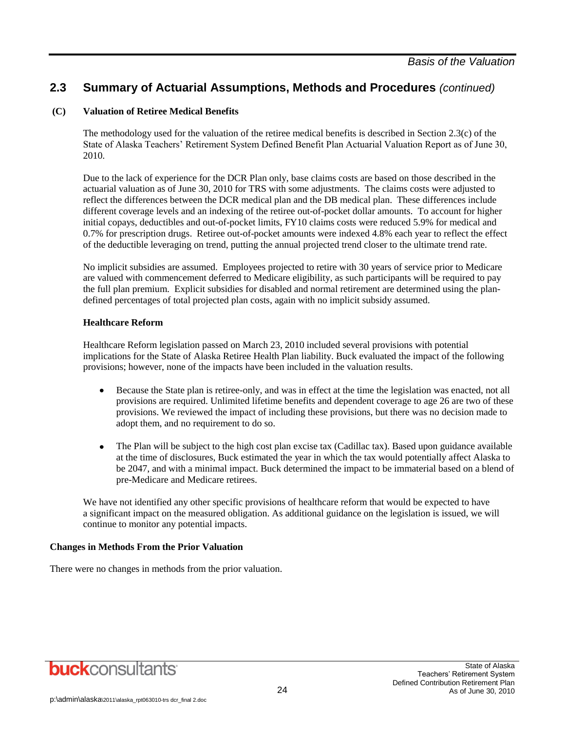#### **(C) Valuation of Retiree Medical Benefits**

The methodology used for the valuation of the retiree medical benefits is described in Section 2.3(c) of the State of Alaska Teachers' Retirement System Defined Benefit Plan Actuarial Valuation Report as of June 30, 2010.

Due to the lack of experience for the DCR Plan only, base claims costs are based on those described in the actuarial valuation as of June 30, 2010 for TRS with some adjustments. The claims costs were adjusted to reflect the differences between the DCR medical plan and the DB medical plan. These differences include different coverage levels and an indexing of the retiree out-of-pocket dollar amounts. To account for higher initial copays, deductibles and out-of-pocket limits, FY10 claims costs were reduced 5.9% for medical and 0.7% for prescription drugs. Retiree out-of-pocket amounts were indexed 4.8% each year to reflect the effect of the deductible leveraging on trend, putting the annual projected trend closer to the ultimate trend rate.

No implicit subsidies are assumed. Employees projected to retire with 30 years of service prior to Medicare are valued with commencement deferred to Medicare eligibility, as such participants will be required to pay the full plan premium. Explicit subsidies for disabled and normal retirement are determined using the plandefined percentages of total projected plan costs, again with no implicit subsidy assumed.

#### **Healthcare Reform**

Healthcare Reform legislation passed on March 23, 2010 included several provisions with potential implications for the State of Alaska Retiree Health Plan liability. Buck evaluated the impact of the following provisions; however, none of the impacts have been included in the valuation results.

- $\bullet$ Because the State plan is retiree-only, and was in effect at the time the legislation was enacted, not all provisions are required. Unlimited lifetime benefits and dependent coverage to age 26 are two of these provisions. We reviewed the impact of including these provisions, but there was no decision made to adopt them, and no requirement to do so.
- The Plan will be subject to the high cost plan excise tax (Cadillac tax). Based upon guidance available  $\bullet$ at the time of disclosures, Buck estimated the year in which the tax would potentially affect Alaska to be 2047, and with a minimal impact. Buck determined the impact to be immaterial based on a blend of pre-Medicare and Medicare retirees.

We have not identified any other specific provisions of healthcare reform that would be expected to have a significant impact on the measured obligation. As additional guidance on the legislation is issued, we will continue to monitor any potential impacts.

#### **Changes in Methods From the Prior Valuation**

There were no changes in methods from the prior valuation.

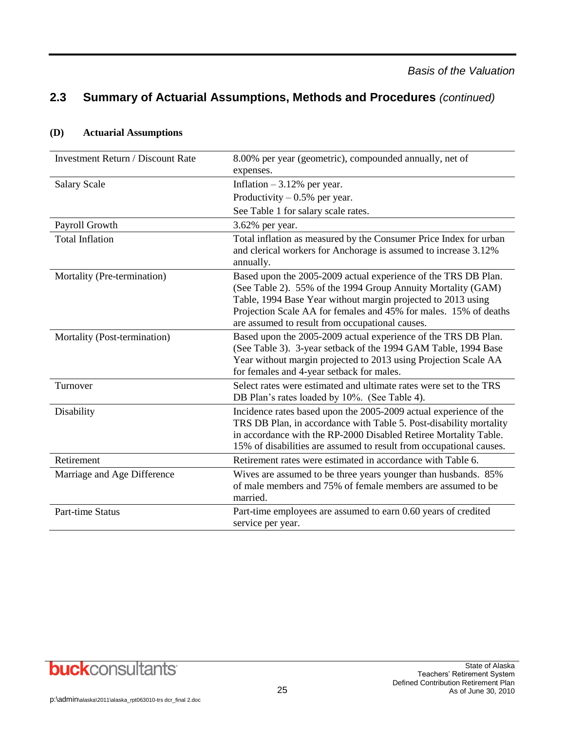| <b>Investment Return / Discount Rate</b> | 8.00% per year (geometric), compounded annually, net of<br>expenses.                                                                                                                                                                                                                                                  |
|------------------------------------------|-----------------------------------------------------------------------------------------------------------------------------------------------------------------------------------------------------------------------------------------------------------------------------------------------------------------------|
| <b>Salary Scale</b>                      | Inflation $-3.12%$ per year.                                                                                                                                                                                                                                                                                          |
|                                          | Productivity $-0.5%$ per year.                                                                                                                                                                                                                                                                                        |
|                                          | See Table 1 for salary scale rates.                                                                                                                                                                                                                                                                                   |
| Payroll Growth                           | 3.62% per year.                                                                                                                                                                                                                                                                                                       |
| <b>Total Inflation</b>                   | Total inflation as measured by the Consumer Price Index for urban<br>and clerical workers for Anchorage is assumed to increase 3.12%<br>annually.                                                                                                                                                                     |
| Mortality (Pre-termination)              | Based upon the 2005-2009 actual experience of the TRS DB Plan.<br>(See Table 2). 55% of the 1994 Group Annuity Mortality (GAM)<br>Table, 1994 Base Year without margin projected to 2013 using<br>Projection Scale AA for females and 45% for males. 15% of deaths<br>are assumed to result from occupational causes. |
| Mortality (Post-termination)             | Based upon the 2005-2009 actual experience of the TRS DB Plan.<br>(See Table 3). 3-year setback of the 1994 GAM Table, 1994 Base<br>Year without margin projected to 2013 using Projection Scale AA<br>for females and 4-year setback for males.                                                                      |
| Turnover                                 | Select rates were estimated and ultimate rates were set to the TRS<br>DB Plan's rates loaded by 10%. (See Table 4).                                                                                                                                                                                                   |
| Disability                               | Incidence rates based upon the 2005-2009 actual experience of the<br>TRS DB Plan, in accordance with Table 5. Post-disability mortality<br>in accordance with the RP-2000 Disabled Retiree Mortality Table.<br>15% of disabilities are assumed to result from occupational causes.                                    |
| Retirement                               | Retirement rates were estimated in accordance with Table 6.                                                                                                                                                                                                                                                           |
| Marriage and Age Difference              | Wives are assumed to be three years younger than husbands. 85%<br>of male members and 75% of female members are assumed to be<br>married.                                                                                                                                                                             |
| <b>Part-time Status</b>                  | Part-time employees are assumed to earn 0.60 years of credited<br>service per year.                                                                                                                                                                                                                                   |

#### **(D) Actuarial Assumptions**

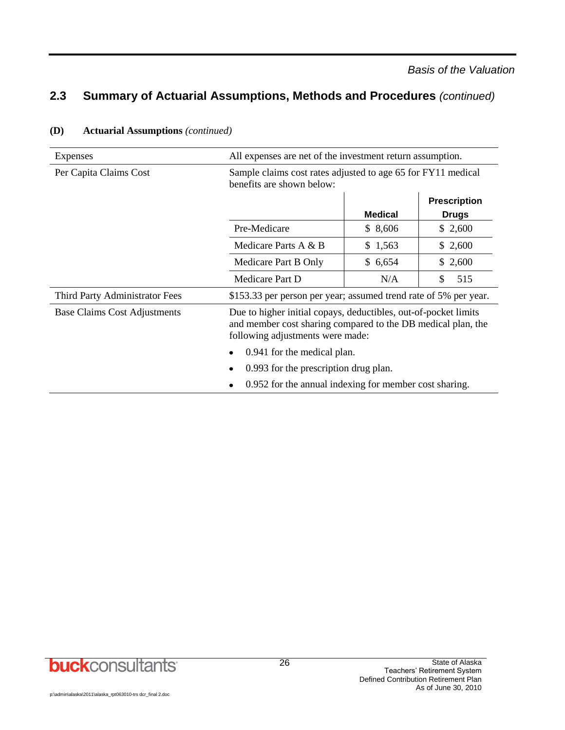| Expenses                       | All expenses are net of the investment return assumption.                                                                                                           |                |                                     |  |  |
|--------------------------------|---------------------------------------------------------------------------------------------------------------------------------------------------------------------|----------------|-------------------------------------|--|--|
| Per Capita Claims Cost         | Sample claims cost rates adjusted to age 65 for FY11 medical<br>benefits are shown below:                                                                           |                |                                     |  |  |
|                                |                                                                                                                                                                     | <b>Medical</b> | <b>Prescription</b><br><b>Drugs</b> |  |  |
|                                | Pre-Medicare                                                                                                                                                        | \$8,606        | \$2,600                             |  |  |
|                                | Medicare Parts A & B                                                                                                                                                | \$1,563        | \$2,600                             |  |  |
|                                | Medicare Part B Only                                                                                                                                                | \$6,654        | \$2,600                             |  |  |
|                                | Medicare Part D                                                                                                                                                     | N/A            | 515<br>S                            |  |  |
| Third Party Administrator Fees | \$153.33 per person per year; assumed trend rate of 5% per year.                                                                                                    |                |                                     |  |  |
| Base Claims Cost Adjustments   | Due to higher initial copays, deductibles, out-of-pocket limits<br>and member cost sharing compared to the DB medical plan, the<br>following adjustments were made: |                |                                     |  |  |
|                                | 0.941 for the medical plan.                                                                                                                                         |                |                                     |  |  |
|                                | 0.993 for the prescription drug plan.                                                                                                                               |                |                                     |  |  |
|                                | 0.952 for the annual indexing for member cost sharing.                                                                                                              |                |                                     |  |  |

#### **(D) Actuarial Assumptions** *(continued)*



p:\admin\alaska\2011\alaska\_rpt063010-trs dcr\_final 2.doc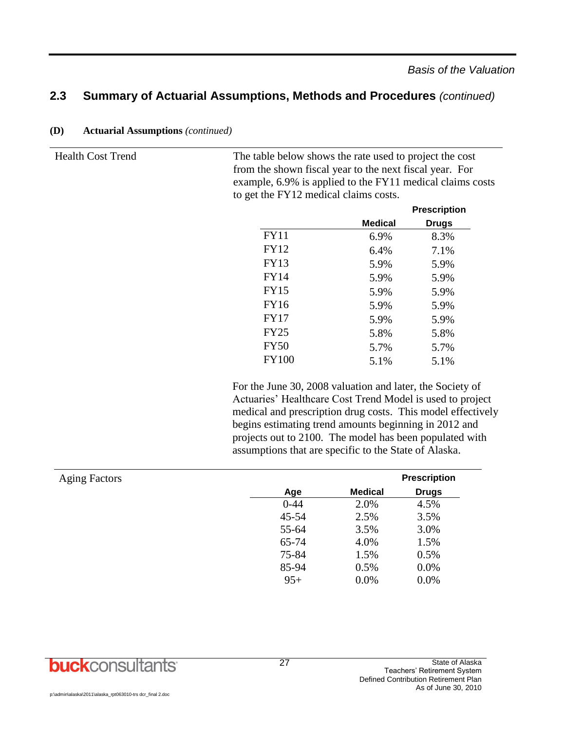|         | <b>Prescription</b> |
|---------|---------------------|
| Medical | <b>Drugs</b>        |
| 6.9%    | 8.3%                |
| 6.4%    | 7.1%                |
| 5.9%    | 5.9%                |
| 5.9%    | 5.9%                |
| 5.9%    | 5.9%                |
| 5.9%    | 5.9%                |
| 5.9%    | 5.9%                |
| 5.8%    | 5.8%                |
| 5.7%    | 5.7%                |
| 5.1%    | 5.1%                |
|         |                     |

from the shown fiscal year to the next fiscal year. For example, 6.9% is applied to the FY11 medical claims costs

to get the FY12 medical claims costs.

**(D) Actuarial Assumptions** *(continued)*

Health Cost Trend The table below shows the rate used to project the cost

For the June 30, 2008 valuation and later, the Society of Actuaries' Healthcare Cost Trend Model is used to project medical and prescription drug costs. This model effectively begins estimating trend amounts beginning in 2012 and projects out to 2100. The model has been populated with assumptions that are specific to the State of Alaska.

| <b>Aging Factors</b> |          |                | <b>Prescription</b> |
|----------------------|----------|----------------|---------------------|
|                      | Age      | <b>Medical</b> | <b>Drugs</b>        |
|                      | $0 - 44$ | 2.0%           | 4.5%                |
|                      | 45-54    | 2.5%           | 3.5%                |
|                      | 55-64    | 3.5%           | 3.0%                |
|                      | 65-74    | 4.0%           | 1.5%                |
|                      | 75-84    | 1.5%           | 0.5%                |
|                      | 85-94    | 0.5%           | 0.0%                |
|                      | $95+$    | 0.0%           | 0.0%                |

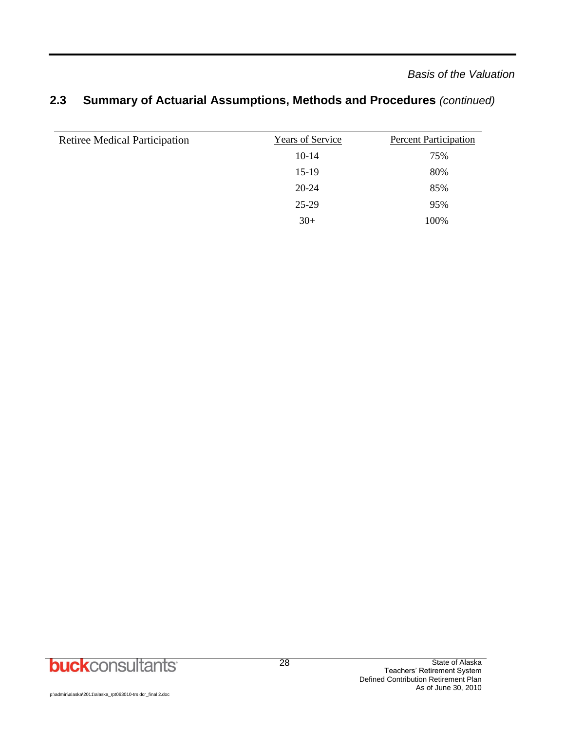*Basis of the Valuation*

| Years of Service | <b>Percent Participation</b> |
|------------------|------------------------------|
| $10-14$          | 75%                          |
| $15-19$          | 80%                          |
| $20 - 24$        | 85%                          |
| 25-29            | 95%                          |
| $30+$            | 100%                         |
|                  |                              |

## **2.3 Summary of Actuarial Assumptions, Methods and Procedures** *(continued)*

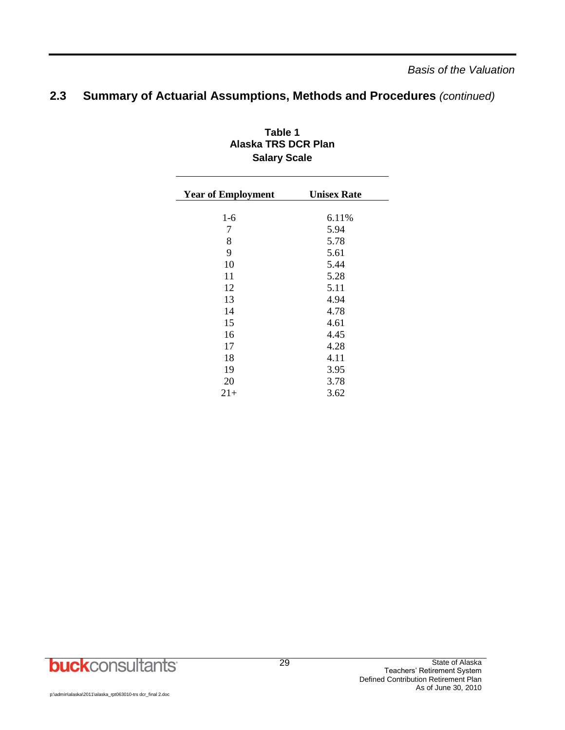| <b>Year of Employment</b> | <b>Unisex Rate</b> |
|---------------------------|--------------------|
|                           |                    |
| $1-6$                     | 6.11%              |
| 7                         | 5.94               |
| 8                         | 5.78               |
| 9                         | 5.61               |
| 10                        | 5.44               |
| 11                        | 5.28               |
| 12                        | 5.11               |
| 13                        | 4.94               |
| 14                        | 4.78               |
| 15                        | 4.61               |
| 16                        | 4.45               |
| 17                        | 4.28               |
| 18                        | 4.11               |
| 19                        | 3.95               |
| 20                        | 3.78               |
| $21+$                     | 3.62               |
|                           |                    |

#### **Table 1 Alaska TRS DCR Plan Salary Scale**

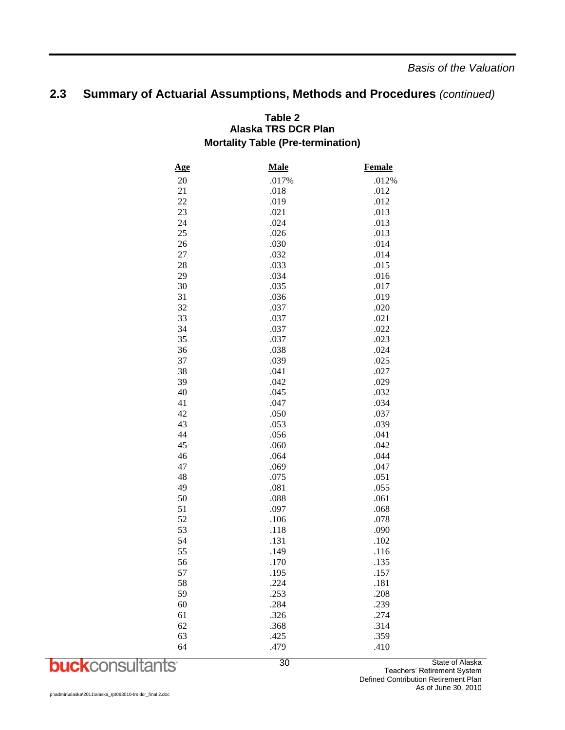*Basis of the Valuation*

## **2.3 Summary of Actuarial Assumptions, Methods and Procedures** *(continued)*

#### **Table 2 Alaska TRS DCR Plan Mortality Table (Pre-termination)**

| <u>Age</u> | <b>Male</b> | <b>Female</b> |
|------------|-------------|---------------|
| 20         | .017%       | .012%         |
| 21         | .018        | .012          |
| 22         | .019        | .012          |
| 23         | .021        | .013          |
| 24         | .024        | .013          |
| 25         | .026        | .013          |
| 26         | .030        | .014          |
| 27         | .032        | .014          |
| 28         | .033        | .015          |
| 29         | .034        | .016          |
| 30         | .035        | .017          |
| 31         | .036        | .019          |
| 32         | .037        | .020          |
| 33         | .037        | .021          |
| 34         | .037        | .022          |
| 35         | .037        | .023          |
| 36         | .038        | .024          |
| 37         | .039        | .025          |
| 38         | .041        | .027          |
| 39         | .042        | .029          |
| 40         | .045        | .032          |
| 41         | .047        | .034          |
| 42         | .050        | .037          |
| 43         | .053        | .039          |
| 44         | .056        | .041          |
| 45         | .060        | .042          |
| 46         | .064        | .044          |
| 47         | .069        | .047          |
| 48         | .075        | .051          |
| 49         | .081        | .055          |
| 50         | .088        | .061          |
| 51         | .097        | .068          |
| 52         | .106        | .078          |
| 53         | .118        | .090          |
| 54         | .131        | .102          |
| 55         | .149        | .116          |
| 56         | .170        | .135          |
| 57         | .195        | .157          |
| 58         | .224        | .181          |
| 59         | .253        | .208          |
| 60         | .284        | .239          |
| 61         | .326        | .274          |
| 62         | .368        | .314          |
| 63         | .425        | .359          |
| 64         | .479        | .410          |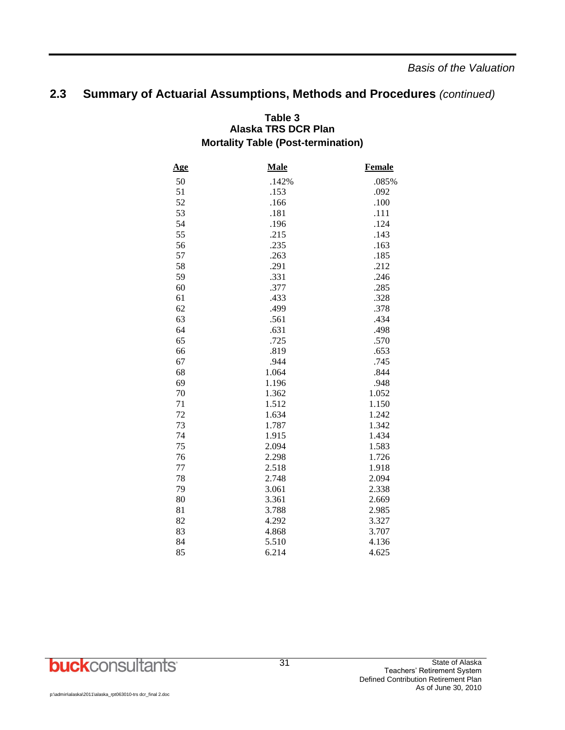*Basis of the Valuation*

## **2.3 Summary of Actuarial Assumptions, Methods and Procedures** *(continued)*

#### **Table 3 Alaska TRS DCR Plan Mortality Table (Post-termination)**

| <u>Age</u> | Male  | <b>Female</b> |
|------------|-------|---------------|
| 50         | .142% | .085%         |
| 51         | .153  | .092          |
| 52         | .166  | .100          |
| 53         | .181  | .111          |
| 54         | .196  | .124          |
| 55         | .215  | .143          |
| 56         | .235  | .163          |
| 57         | .263  | .185          |
| 58         | .291  | .212          |
| 59         | .331  | .246          |
| 60         | .377  | .285          |
| 61         | .433  | .328          |
| 62         | .499  | .378          |
| 63         | .561  | .434          |
| 64         | .631  | .498          |
| 65         | .725  | .570          |
| 66         | .819  | .653          |
| 67         | .944  | .745          |
| 68         | 1.064 | .844          |
| 69         | 1.196 | .948          |
| 70         | 1.362 | 1.052         |
| 71         | 1.512 | 1.150         |
| 72         | 1.634 | 1.242         |
| 73         | 1.787 | 1.342         |
| 74         | 1.915 | 1.434         |
| 75         | 2.094 | 1.583         |
| 76         | 2.298 | 1.726         |
| 77         | 2.518 | 1.918         |
| 78         | 2.748 | 2.094         |
| 79         | 3.061 | 2.338         |
| 80         | 3.361 | 2.669         |
| 81         | 3.788 | 2.985         |
| 82         | 4.292 | 3.327         |
| 83         | 4.868 | 3.707         |
| 84         | 5.510 | 4.136         |
| 85         | 6.214 | 4.625         |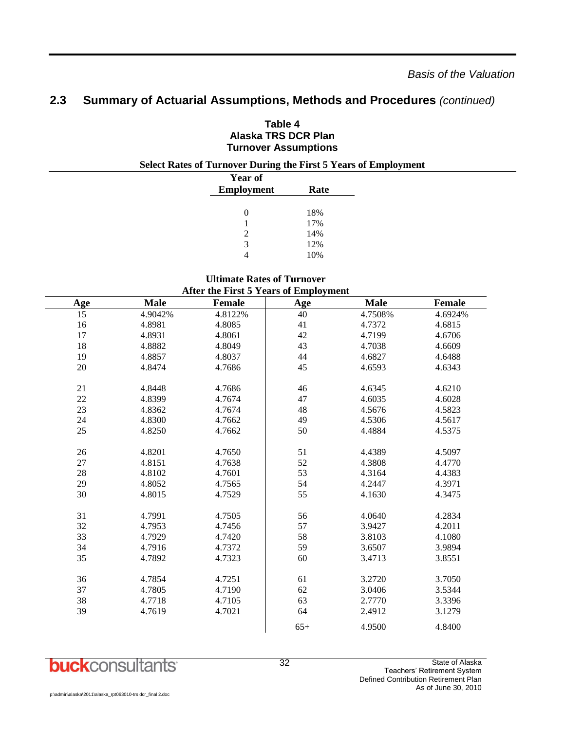| <b>Select Rates of Turnover During the First 5 Years of Employment</b><br><b>Year of</b> |      |  |
|------------------------------------------------------------------------------------------|------|--|
| <b>Employment</b>                                                                        | Rate |  |
| $\theta$                                                                                 | 18%  |  |
|                                                                                          | 17%  |  |
|                                                                                          | 14%  |  |
| 3                                                                                        | 12%  |  |
| 4                                                                                        | 10%  |  |

#### **Table 4 Alaska TRS DCR Plan Turnover Assumptions**

#### **Ultimate Rates of Turnover After the First 5 Years of Employment**

| then the thore I can't of Employment |             |         |            |             |               |  |  |  |  |  |  |
|--------------------------------------|-------------|---------|------------|-------------|---------------|--|--|--|--|--|--|
| <u>Age</u>                           | <b>Male</b> | Female  | <b>Age</b> | <b>Male</b> | <b>Female</b> |  |  |  |  |  |  |
| $\overline{15}$                      | 4.9042%     | 4.8122% | 40         | 4.7508%     | 4.6924%       |  |  |  |  |  |  |
| 16                                   | 4.8981      | 4.8085  | 41         | 4.7372      | 4.6815        |  |  |  |  |  |  |
| $17\,$                               | 4.8931      | 4.8061  | 42         | 4.7199      | 4.6706        |  |  |  |  |  |  |
| $18\,$                               | 4.8882      | 4.8049  | 43         | 4.7038      | 4.6609        |  |  |  |  |  |  |
| 19                                   | 4.8857      | 4.8037  | $44\,$     | 4.6827      | 4.6488        |  |  |  |  |  |  |
| 20                                   | 4.8474      | 4.7686  | 45         | 4.6593      | 4.6343        |  |  |  |  |  |  |
| 21                                   | 4.8448      | 4.7686  | 46         | 4.6345      | 4.6210        |  |  |  |  |  |  |
| $22\,$                               | 4.8399      | 4.7674  | 47         | 4.6035      | 4.6028        |  |  |  |  |  |  |
| 23                                   | 4.8362      | 4.7674  | 48         | 4.5676      | 4.5823        |  |  |  |  |  |  |
| 24                                   | 4.8300      | 4.7662  | 49         | 4.5306      | 4.5617        |  |  |  |  |  |  |
| 25                                   | 4.8250      | 4.7662  | 50         | 4.4884      | 4.5375        |  |  |  |  |  |  |
| 26                                   | 4.8201      | 4.7650  | 51         | 4.4389      | 4.5097        |  |  |  |  |  |  |
| $27\,$                               | 4.8151      | 4.7638  | 52         | 4.3808      | 4.4770        |  |  |  |  |  |  |
| 28                                   | 4.8102      | 4.7601  | 53         | 4.3164      | 4.4383        |  |  |  |  |  |  |
| 29                                   | 4.8052      | 4.7565  | 54         | 4.2447      | 4.3971        |  |  |  |  |  |  |
| 30                                   | 4.8015      | 4.7529  | 55         | 4.1630      | 4.3475        |  |  |  |  |  |  |
| 31                                   | 4.7991      | 4.7505  | 56         | 4.0640      | 4.2834        |  |  |  |  |  |  |
| 32                                   | 4.7953      | 4.7456  | 57         | 3.9427      | 4.2011        |  |  |  |  |  |  |
| 33                                   | 4.7929      | 4.7420  | 58         | 3.8103      | 4.1080        |  |  |  |  |  |  |
| 34                                   | 4.7916      | 4.7372  | 59         | 3.6507      | 3.9894        |  |  |  |  |  |  |
| 35                                   | 4.7892      | 4.7323  | 60         | 3.4713      | 3.8551        |  |  |  |  |  |  |
| 36                                   | 4.7854      | 4.7251  | 61         | 3.2720      | 3.7050        |  |  |  |  |  |  |
| 37                                   | 4.7805      | 4.7190  | 62         | 3.0406      | 3.5344        |  |  |  |  |  |  |
| 38                                   | 4.7718      | 4.7105  | 63         | 2.7770      | 3.3396        |  |  |  |  |  |  |
| 39                                   | 4.7619      | 4.7021  | 64         | 2.4912      | 3.1279        |  |  |  |  |  |  |
|                                      |             |         | $65+$      | 4.9500      | 4.8400        |  |  |  |  |  |  |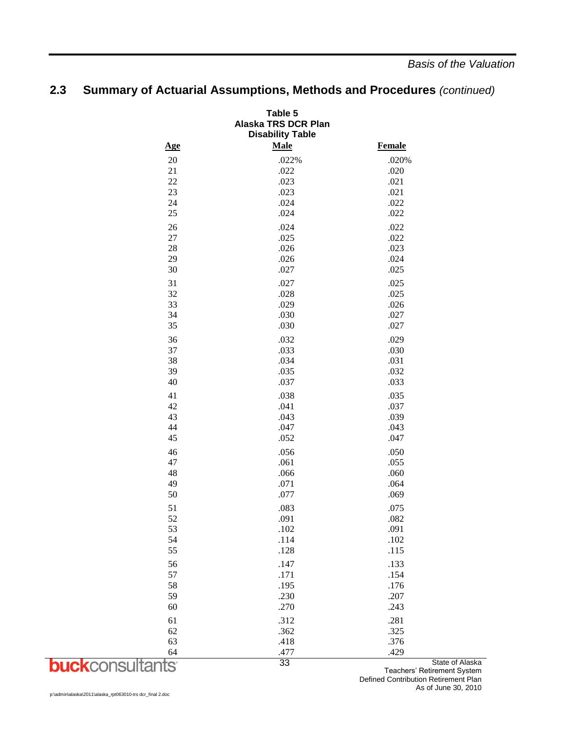| Table 5<br>Alaska TRS DCR Plan<br><b>Disability Table</b> |             |               |  |  |  |  |  |
|-----------------------------------------------------------|-------------|---------------|--|--|--|--|--|
| Age                                                       | <b>Male</b> | <b>Female</b> |  |  |  |  |  |
| 20                                                        | .022%       | .020%         |  |  |  |  |  |
| 21                                                        | .022        | .020          |  |  |  |  |  |
| 22                                                        | .023        | .021          |  |  |  |  |  |
| 23                                                        | .023        | .021          |  |  |  |  |  |
| 24                                                        | .024        | .022          |  |  |  |  |  |
| 25                                                        | .024        | .022          |  |  |  |  |  |
| 26                                                        | .024        | .022          |  |  |  |  |  |
| 27                                                        | .025        | .022          |  |  |  |  |  |
| 28                                                        | .026        | .023          |  |  |  |  |  |
| 29                                                        | .026        | .024          |  |  |  |  |  |
| 30                                                        | .027        | .025          |  |  |  |  |  |
| 31                                                        | .027        | .025          |  |  |  |  |  |
| 32                                                        | .028        | .025          |  |  |  |  |  |
| 33                                                        | .029        | .026          |  |  |  |  |  |
| 34                                                        | .030        | .027          |  |  |  |  |  |
| 35                                                        | .030        | .027          |  |  |  |  |  |
| 36                                                        | .032        | .029          |  |  |  |  |  |
| 37                                                        | .033        | .030          |  |  |  |  |  |
| 38                                                        | .034        | .031          |  |  |  |  |  |
| 39                                                        | .035        | .032          |  |  |  |  |  |
| 40                                                        | .037        | .033          |  |  |  |  |  |
| 41                                                        | .038        | .035          |  |  |  |  |  |
| 42                                                        | .041        | .037          |  |  |  |  |  |
| 43                                                        | .043        | .039          |  |  |  |  |  |
| 44                                                        | .047        | .043          |  |  |  |  |  |
| 45                                                        | .052        | .047          |  |  |  |  |  |
| 46                                                        | .056        | .050          |  |  |  |  |  |
| 47                                                        | .061        | .055          |  |  |  |  |  |
| 48                                                        | .066        | .060          |  |  |  |  |  |
| 49                                                        | .071        | .064          |  |  |  |  |  |
| 50                                                        | .077        | .069          |  |  |  |  |  |
| 51                                                        | .083        | .075          |  |  |  |  |  |
| 52                                                        | .091        | .082          |  |  |  |  |  |
| 53                                                        | .102        | .091          |  |  |  |  |  |
| 54                                                        | .114        | .102          |  |  |  |  |  |
| 55                                                        | .128        | .115          |  |  |  |  |  |
| 56                                                        | .147        | .133          |  |  |  |  |  |
| 57                                                        | .171        | .154          |  |  |  |  |  |
| 58                                                        | .195        | .176          |  |  |  |  |  |
| 59                                                        | .230        | .207          |  |  |  |  |  |
| 60                                                        | .270        | .243          |  |  |  |  |  |
| 61                                                        | .312        | .281          |  |  |  |  |  |
| 62                                                        | .362        | .325          |  |  |  |  |  |
| 63                                                        | .418        | .376          |  |  |  |  |  |
| 64                                                        | .477        | .429          |  |  |  |  |  |

## **2.3 Summary of Actuarial Assumptions, Methods and Procedures** *(continued)*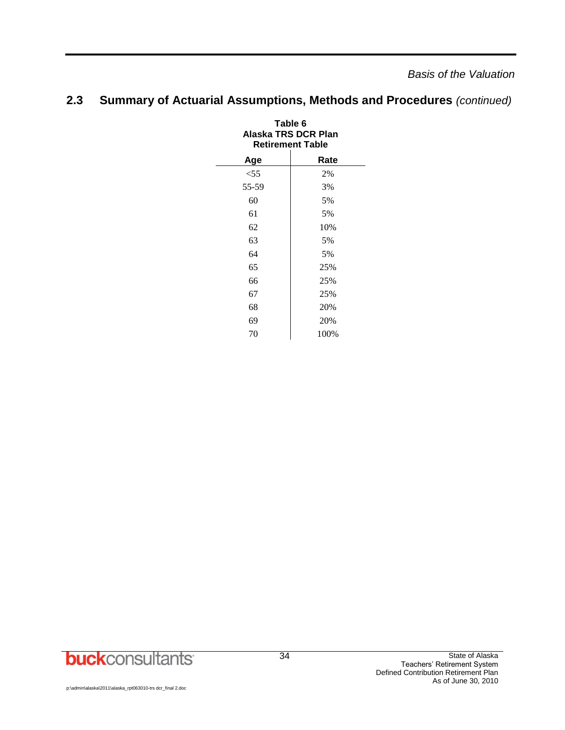*Basis of the Valuation*

| Table 6<br>Alaska TRS DCR Plan<br><b>Retirement Table</b> |      |  |  |  |  |  |  |
|-----------------------------------------------------------|------|--|--|--|--|--|--|
| Age                                                       | Rate |  |  |  |  |  |  |
| $<$ 55                                                    | 2%   |  |  |  |  |  |  |
| 55-59                                                     | 3%   |  |  |  |  |  |  |
| 60                                                        | 5%   |  |  |  |  |  |  |
| 61                                                        | 5%   |  |  |  |  |  |  |
| 62                                                        | 10%  |  |  |  |  |  |  |
| 63                                                        | 5%   |  |  |  |  |  |  |
| 64                                                        | 5%   |  |  |  |  |  |  |
| 65                                                        | 25%  |  |  |  |  |  |  |
| 66                                                        | 25%  |  |  |  |  |  |  |
| 67                                                        | 25%  |  |  |  |  |  |  |
| 68                                                        | 20%  |  |  |  |  |  |  |
| 69                                                        | 20%  |  |  |  |  |  |  |
| 70                                                        | 100% |  |  |  |  |  |  |

## **2.3 Summary of Actuarial Assumptions, Methods and Procedures** *(continued)*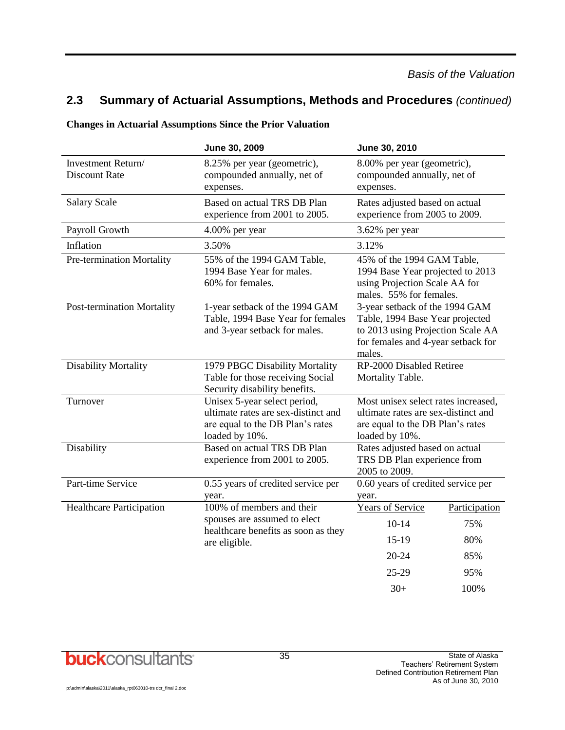#### **Changes in Actuarial Assumptions Since the Prior Valuation**

|                                            | June 30, 2009                                                                                                             | June 30, 2010                                                                                                                                          |  |  |  |  |  |
|--------------------------------------------|---------------------------------------------------------------------------------------------------------------------------|--------------------------------------------------------------------------------------------------------------------------------------------------------|--|--|--|--|--|
| Investment Return/<br><b>Discount Rate</b> | 8.25% per year (geometric),<br>compounded annually, net of<br>expenses.                                                   | 8.00% per year (geometric),<br>compounded annually, net of<br>expenses.                                                                                |  |  |  |  |  |
| <b>Salary Scale</b>                        | Based on actual TRS DB Plan<br>experience from 2001 to 2005.                                                              | Rates adjusted based on actual<br>experience from 2005 to 2009.                                                                                        |  |  |  |  |  |
| Payroll Growth                             | 4.00% per year                                                                                                            | 3.62% per year                                                                                                                                         |  |  |  |  |  |
| Inflation                                  | 3.50%                                                                                                                     | 3.12%                                                                                                                                                  |  |  |  |  |  |
| Pre-termination Mortality                  | 55% of the 1994 GAM Table,<br>1994 Base Year for males.<br>60% for females.                                               | 45% of the 1994 GAM Table,<br>1994 Base Year projected to 2013<br>using Projection Scale AA for<br>males. 55% for females.                             |  |  |  |  |  |
| <b>Post-termination Mortality</b>          | 1-year setback of the 1994 GAM<br>Table, 1994 Base Year for females<br>and 3-year setback for males.                      | 3-year setback of the 1994 GAM<br>Table, 1994 Base Year projected<br>to 2013 using Projection Scale AA<br>for females and 4-year setback for<br>males. |  |  |  |  |  |
| <b>Disability Mortality</b>                | 1979 PBGC Disability Mortality<br>Table for those receiving Social<br>Security disability benefits.                       | RP-2000 Disabled Retiree<br>Mortality Table.                                                                                                           |  |  |  |  |  |
| Turnover                                   | Unisex 5-year select period,<br>ultimate rates are sex-distinct and<br>are equal to the DB Plan's rates<br>loaded by 10%. | Most unisex select rates increased,<br>ultimate rates are sex-distinct and<br>are equal to the DB Plan's rates<br>loaded by 10%.                       |  |  |  |  |  |
| Disability                                 | Based on actual TRS DB Plan<br>experience from 2001 to 2005.                                                              | Rates adjusted based on actual<br>TRS DB Plan experience from<br>2005 to 2009.                                                                         |  |  |  |  |  |
| Part-time Service                          | 0.55 years of credited service per<br>year.                                                                               | 0.60 years of credited service per<br>year.                                                                                                            |  |  |  |  |  |
| Healthcare Participation                   | $100%$ of members and their                                                                                               | <b>Years of Service</b><br>Participation                                                                                                               |  |  |  |  |  |
|                                            | spouses are assumed to elect<br>healthcare benefits as soon as they                                                       | $10-14$<br>75%                                                                                                                                         |  |  |  |  |  |
|                                            | are eligible.                                                                                                             | $15-19$<br>80%                                                                                                                                         |  |  |  |  |  |
|                                            |                                                                                                                           | 20-24<br>85%                                                                                                                                           |  |  |  |  |  |
|                                            |                                                                                                                           | 25-29<br>95%                                                                                                                                           |  |  |  |  |  |
|                                            |                                                                                                                           | $30+$<br>100%                                                                                                                                          |  |  |  |  |  |

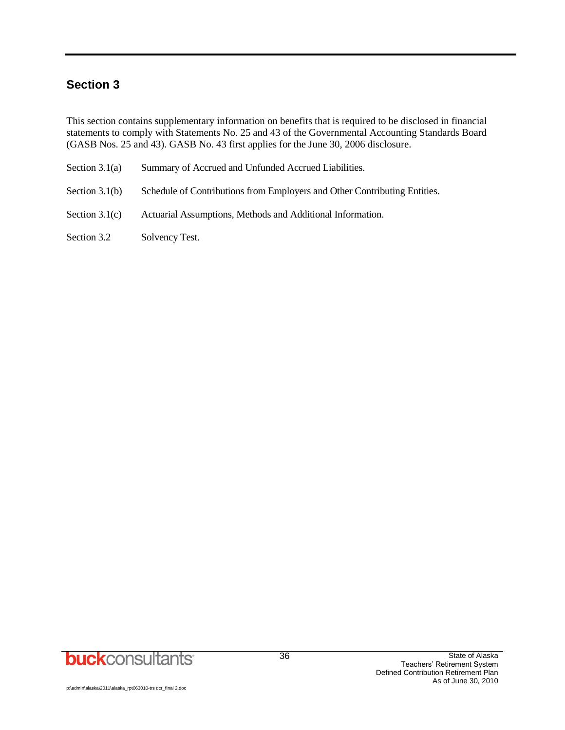## **Section 3**

This section contains supplementary information on benefits that is required to be disclosed in financial statements to comply with Statements No. 25 and 43 of the Governmental Accounting Standards Board (GASB Nos. 25 and 43). GASB No. 43 first applies for the June 30, 2006 disclosure.

| Section $3.1(a)$ | Summary of Accrued and Unfunded Accrued Liabilities.                      |
|------------------|---------------------------------------------------------------------------|
| Section $3.1(b)$ | Schedule of Contributions from Employers and Other Contributing Entities. |
| Section $3.1(c)$ | Actuarial Assumptions, Methods and Additional Information.                |

Section 3.2 Solvency Test.

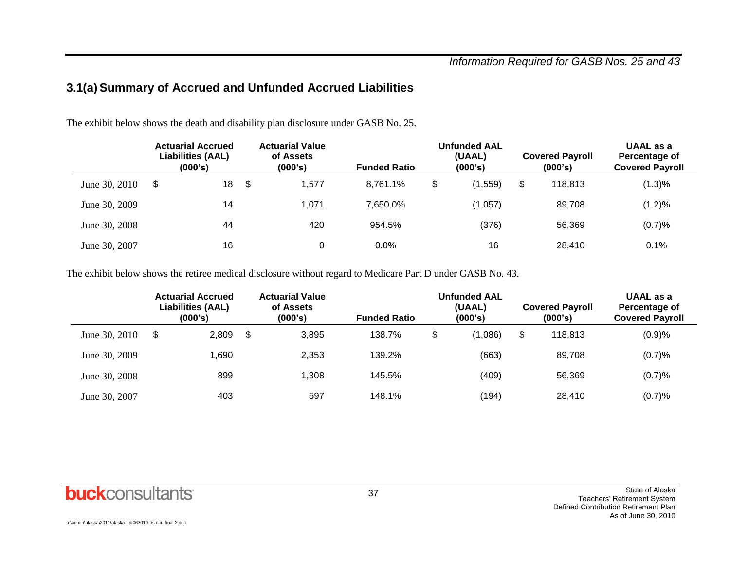## **3.1(a) Summary of Accrued and Unfunded Accrued Liabilities**

The exhibit below shows the death and disability plan disclosure under GASB No. 25.

|               | <b>Actuarial Accrued</b><br><b>Liabilities (AAL)</b><br>(000's) |    |    | <b>Actuarial Value</b><br>of Assets<br>(000's) | <b>Unfunded AAL</b><br>(UAAL)<br><b>Funded Ratio</b><br>(000's) |    |          |    | <b>Covered Payroll</b><br>(000's) | UAAL as a<br>Percentage of<br><b>Covered Payroll</b> |  |
|---------------|-----------------------------------------------------------------|----|----|------------------------------------------------|-----------------------------------------------------------------|----|----------|----|-----------------------------------|------------------------------------------------------|--|
| June 30, 2010 | \$                                                              | 18 | \$ | 1.577                                          | 8.761.1%                                                        | \$ | (1, 559) | \$ | 118.813                           | (1.3)%                                               |  |
| June 30, 2009 |                                                                 | 14 |    | 1,071                                          | 7,650.0%                                                        |    | (1,057)  |    | 89.708                            | (1.2)%                                               |  |
| June 30, 2008 |                                                                 | 44 |    | 420                                            | 954.5%                                                          |    | (376)    |    | 56,369                            | (0.7)%                                               |  |
| June 30, 2007 |                                                                 | 16 |    | 0                                              | 0.0%                                                            |    | 16       |    | 28,410                            | 0.1%                                                 |  |

The exhibit below shows the retiree medical disclosure without regard to Medicare Part D under GASB No. 43.

|               | <b>Actuarial Accrued</b><br><b>Liabilities (AAL)</b><br>(000's) |       | <b>Actuarial Value</b><br>of Assets<br>(000's) | <b>Unfunded AAL</b><br>(UAAL)<br>(000's)<br><b>Funded Ratio</b> |    |         | <b>Covered Payroll</b><br>(000's) | UAAL as a<br>Percentage of<br><b>Covered Payroll</b> |  |
|---------------|-----------------------------------------------------------------|-------|------------------------------------------------|-----------------------------------------------------------------|----|---------|-----------------------------------|------------------------------------------------------|--|
| June 30, 2010 | \$                                                              | 2,809 | \$<br>3,895                                    | 138.7%                                                          | \$ | (1,086) | \$<br>118.813                     | (0.9)%                                               |  |
| June 30, 2009 |                                                                 | 1.690 | 2,353                                          | 139.2%                                                          |    | (663)   | 89.708                            | (0.7)%                                               |  |
| June 30, 2008 |                                                                 | 899   | .308                                           | 145.5%                                                          |    | (409)   | 56,369                            | (0.7)%                                               |  |
| June 30, 2007 |                                                                 | 403   | 597                                            | 148.1%                                                          |    | (194)   | 28,410                            | (0.7)%                                               |  |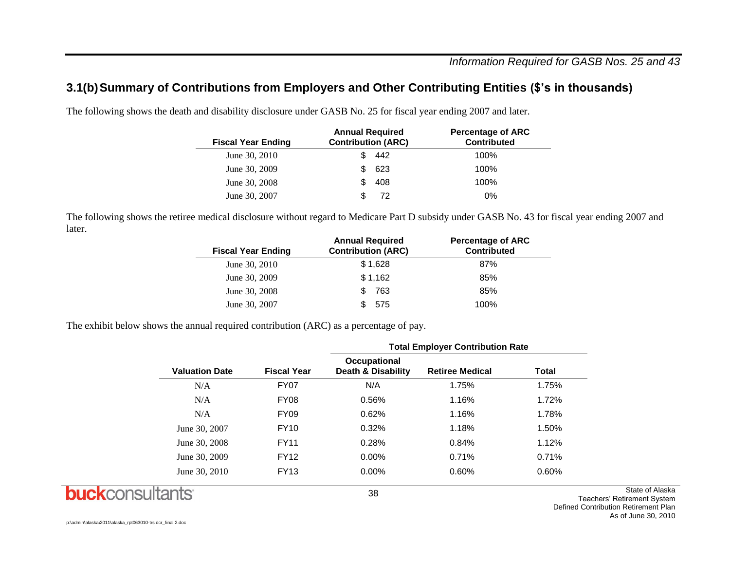## **3.1(b)Summary of Contributions from Employers and Other Contributing Entities (\$'s in thousands)**

The following shows the death and disability disclosure under GASB No. 25 for fiscal year ending 2007 and later.

| <b>Fiscal Year Ending</b> | <b>Annual Required</b><br><b>Contribution (ARC)</b> |     | <b>Percentage of ARC</b><br><b>Contributed</b> |
|---------------------------|-----------------------------------------------------|-----|------------------------------------------------|
| June 30, 2010             |                                                     | 442 | 100%                                           |
| June 30, 2009             |                                                     | 623 | 100%                                           |
| June 30, 2008             |                                                     | 408 | 100%                                           |
| June 30, 2007             |                                                     | 72  | $0\%$                                          |

The following shows the retiree medical disclosure without regard to Medicare Part D subsidy under GASB No. 43 for fiscal year ending 2007 and later.

| <b>Annual Required</b><br><b>Contribution (ARC)</b> | <b>Percentage of ARC</b><br><b>Contributed</b> |
|-----------------------------------------------------|------------------------------------------------|
| \$1,628                                             | 87%                                            |
| \$1,162                                             | 85%                                            |
| 763                                                 | 85%                                            |
| - 575                                               | 100%                                           |
|                                                     |                                                |

The exhibit below shows the annual required contribution (ARC) as a percentage of pay.

|                       |                    | <b>Total Employer Contribution Rate</b>       |                        |       |  |  |  |  |  |
|-----------------------|--------------------|-----------------------------------------------|------------------------|-------|--|--|--|--|--|
| <b>Valuation Date</b> | <b>Fiscal Year</b> | Occupational<br><b>Death &amp; Disability</b> | <b>Retiree Medical</b> | Total |  |  |  |  |  |
| N/A                   | <b>FY07</b>        | N/A                                           | 1.75%                  | 1.75% |  |  |  |  |  |
| N/A                   | <b>FY08</b>        | 0.56%                                         | 1.16%                  | 1.72% |  |  |  |  |  |
| N/A                   | <b>FY09</b>        | 0.62%                                         | 1.16%                  | 1.78% |  |  |  |  |  |
| June 30, 2007         | <b>FY10</b>        | 0.32%                                         | 1.18%                  | 1.50% |  |  |  |  |  |
| June 30, 2008         | <b>FY11</b>        | 0.28%                                         | 0.84%                  | 1.12% |  |  |  |  |  |
| June 30, 2009         | <b>FY12</b>        | $0.00\%$                                      | 0.71%                  | 0.71% |  |  |  |  |  |
| June 30, 2010         | <b>FY13</b>        | $0.00\%$                                      | 0.60%                  | 0.60% |  |  |  |  |  |
|                       |                    | 38                                            |                        |       |  |  |  |  |  |

**buck**consultants

State of Alaska Teachers' Retirement System Defined Contribution Retirement Plan As of June 30, 2010

p:\admin\alaska\2011\alaska\_rpt063010-trs dcr\_final 2.doc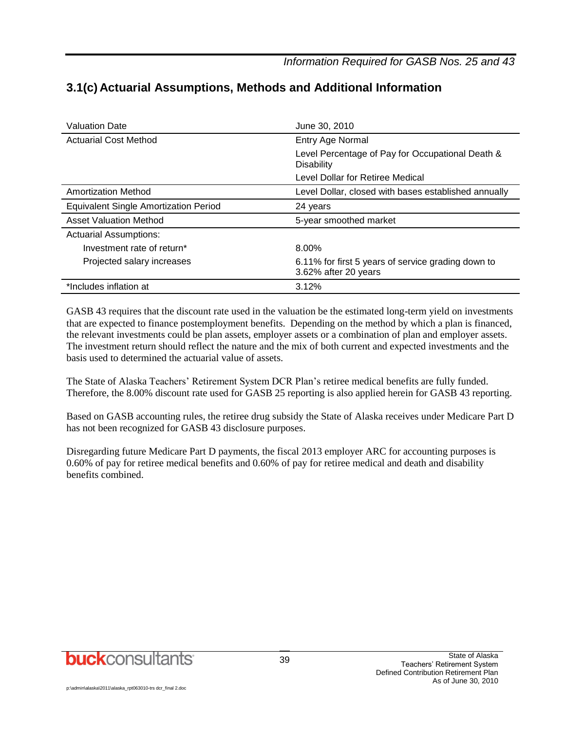*Information Required for GASB Nos. 25 and 43*

| <b>Valuation Date</b>                        | June 30, 2010                                                              |
|----------------------------------------------|----------------------------------------------------------------------------|
| <b>Actuarial Cost Method</b>                 | Entry Age Normal                                                           |
|                                              | Level Percentage of Pay for Occupational Death &<br><b>Disability</b>      |
|                                              | Level Dollar for Retiree Medical                                           |
| Amortization Method                          | Level Dollar, closed with bases established annually                       |
| <b>Equivalent Single Amortization Period</b> | 24 years                                                                   |
| <b>Asset Valuation Method</b>                | 5-year smoothed market                                                     |
| <b>Actuarial Assumptions:</b>                |                                                                            |
| Investment rate of return*                   | 8.00%                                                                      |
| Projected salary increases                   | 6.11% for first 5 years of service grading down to<br>3.62% after 20 years |
| *Includes inflation at                       | 3.12%                                                                      |

## **3.1(c) Actuarial Assumptions, Methods and Additional Information**

GASB 43 requires that the discount rate used in the valuation be the estimated long-term yield on investments that are expected to finance postemployment benefits. Depending on the method by which a plan is financed, the relevant investments could be plan assets, employer assets or a combination of plan and employer assets. The investment return should reflect the nature and the mix of both current and expected investments and the basis used to determined the actuarial value of assets.

The State of Alaska Teachers' Retirement System DCR Plan's retiree medical benefits are fully funded. Therefore, the 8.00% discount rate used for GASB 25 reporting is also applied herein for GASB 43 reporting.

Based on GASB accounting rules, the retiree drug subsidy the State of Alaska receives under Medicare Part D has not been recognized for GASB 43 disclosure purposes.

Disregarding future Medicare Part D payments, the fiscal 2013 employer ARC for accounting purposes is 0.60% of pay for retiree medical benefits and 0.60% of pay for retiree medical and death and disability benefits combined.